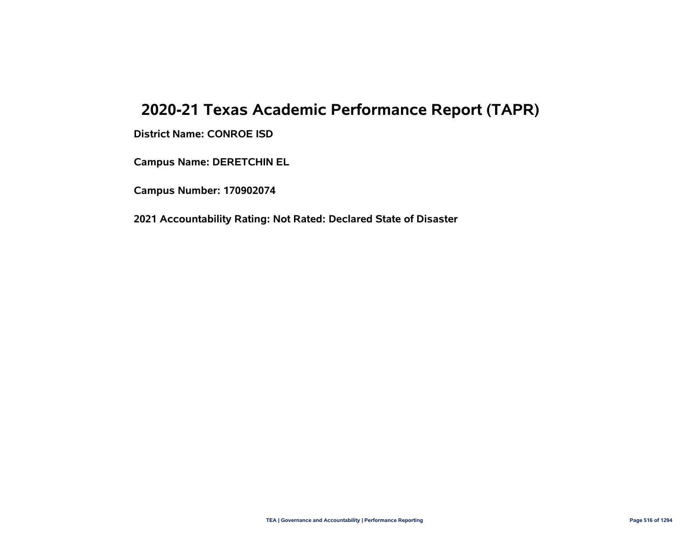# **2020-21 Texas Academic Performance Report (TAPR)**

**District Name: CONROE ISD**

**Campus Name: DERETCHIN EL**

**Campus Number: 170902074**

**2021 Accountability Rating: Not Rated: Declared State of Disaster**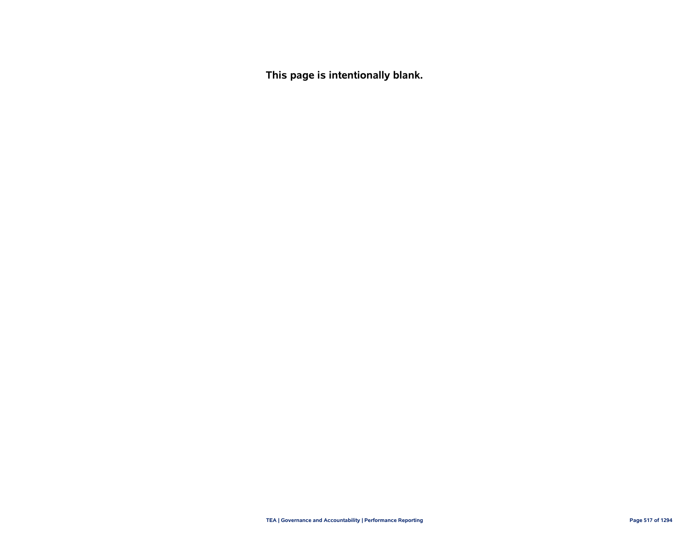**This page is intentionally blank.**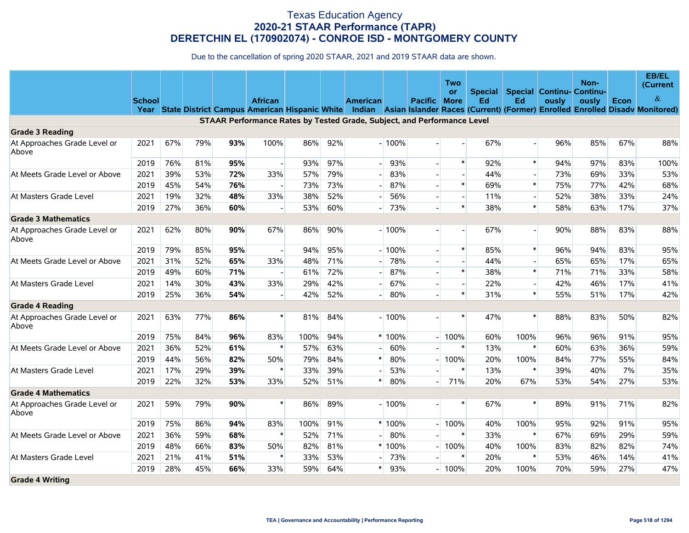|                                       |               |     |     |     |                                                                         |      |     |                 |         |                | Two                      |                |                |                                  | Non-  |      | EB/EL<br>(Current                                                                                                                     |
|---------------------------------------|---------------|-----|-----|-----|-------------------------------------------------------------------------|------|-----|-----------------|---------|----------------|--------------------------|----------------|----------------|----------------------------------|-------|------|---------------------------------------------------------------------------------------------------------------------------------------|
|                                       |               |     |     |     |                                                                         |      |     |                 |         |                | <b>or</b>                | <b>Special</b> |                | <b>Special Continu- Continu-</b> |       |      | $\&$                                                                                                                                  |
|                                       | <b>School</b> |     |     |     | <b>African</b>                                                          |      |     | <b>American</b> |         | Pacific        | <b>More</b>              | Ed             | Ed             | ously                            | ously | Econ | Year State District Campus American Hispanic White Indian Asian Islander Races (Current) (Former) Enrolled Enrolled Disady Monitored) |
|                                       |               |     |     |     | STAAR Performance Rates by Tested Grade, Subject, and Performance Level |      |     |                 |         |                |                          |                |                |                                  |       |      |                                                                                                                                       |
| <b>Grade 3 Reading</b>                |               |     |     |     |                                                                         |      |     |                 |         |                |                          |                |                |                                  |       |      |                                                                                                                                       |
| At Approaches Grade Level or<br>Above | 2021          | 67% | 79% | 93% | 100%                                                                    | 86%  | 92% |                 | $-100%$ |                | $\blacksquare$           | 67%            |                | 96%                              | 85%   | 67%  | 88%                                                                                                                                   |
|                                       | 2019          | 76% | 81% | 95% | $\sim$                                                                  | 93%  | 97% |                 | 93%     | $\blacksquare$ | $\pmb{\ast}$             | 92%            | $\ast$         | 94%                              | 97%   | 83%  | 100%                                                                                                                                  |
| At Meets Grade Level or Above         | 2021          | 39% | 53% | 72% | 33%                                                                     | 57%  | 79% |                 | 83%     |                | $\overline{a}$           | 44%            | $\overline{a}$ | 73%                              | 69%   | 33%  | 53%                                                                                                                                   |
|                                       | 2019          | 45% | 54% | 76% |                                                                         | 73%  | 73% |                 | 87%     |                | $\ast$                   | 69%            | $\ast$         | 75%                              | 77%   | 42%  | 68%                                                                                                                                   |
| At Masters Grade Level                | 2021          | 19% | 32% | 48% | 33%                                                                     | 38%  | 52% |                 | 56%     | $\overline{a}$ | $\overline{a}$           | 11%            | $\overline{a}$ | 52%                              | 38%   | 33%  | 24%                                                                                                                                   |
|                                       | 2019          | 27% | 36% | 60% |                                                                         | 53%  | 60% |                 | 73%     |                | $\ast$                   | 38%            | $\ast$         | 58%                              | 63%   | 17%  | 37%                                                                                                                                   |
| <b>Grade 3 Mathematics</b>            |               |     |     |     |                                                                         |      |     |                 |         |                |                          |                |                |                                  |       |      |                                                                                                                                       |
| At Approaches Grade Level or<br>Above | 2021          | 62% | 80% | 90% | 67%                                                                     | 86%  | 90% |                 | $-100%$ |                | $\overline{\phantom{a}}$ | 67%            |                | 90%                              | 88%   | 83%  | 88%                                                                                                                                   |
|                                       | 2019          | 79% | 85% | 95% |                                                                         | 94%  | 95% |                 | $-100%$ |                | $\pmb{\ast}$             | 85%            | $\ast$         | 96%                              | 94%   | 83%  | 95%                                                                                                                                   |
| At Meets Grade Level or Above         | 2021          | 31% | 52% | 65% | 33%                                                                     | 48%  | 71% |                 | 78%     |                | $\frac{1}{2}$            | 44%            |                | 65%                              | 65%   | 17%  | 65%                                                                                                                                   |
|                                       | 2019          | 49% | 60% | 71% | $\overline{\phantom{a}}$                                                | 61%  | 72% |                 | 87%     |                | $\ast$                   | 38%            | $\ast$         | 71%                              | 71%   | 33%  | 58%                                                                                                                                   |
| At Masters Grade Level                | 2021          | 14% | 30% | 43% | 33%                                                                     | 29%  | 42% |                 | 67%     |                | $\overline{\phantom{a}}$ | 22%            |                | 42%                              | 46%   | 17%  | 41%                                                                                                                                   |
|                                       | 2019          | 25% | 36% | 54% |                                                                         | 42%  | 52% |                 | 80%     |                | $\ast$                   | 31%            | $\ast$         | 55%                              | 51%   | 17%  | 42%                                                                                                                                   |
| <b>Grade 4 Reading</b>                |               |     |     |     |                                                                         |      |     |                 |         |                |                          |                |                |                                  |       |      |                                                                                                                                       |
| At Approaches Grade Level or<br>Above | 2021          | 63% | 77% | 86% | $\ast$                                                                  | 81%  | 84% |                 | $-100%$ |                | $\ast$                   | 47%            | $\ast$         | 88%                              | 83%   | 50%  | 82%                                                                                                                                   |
|                                       | 2019          | 75% | 84% | 96% | 83%                                                                     | 100% | 94% |                 | * 100%  |                | 100%                     | 60%            | 100%           | 96%                              | 96%   | 91%  | 95%                                                                                                                                   |
| At Meets Grade Level or Above         | 2021          | 36% | 52% | 61% | $\ast$                                                                  | 57%  | 63% |                 | 60%     |                | $\ast$                   | 13%            | $\ast$         | 60%                              | 63%   | 36%  | 59%                                                                                                                                   |
|                                       | 2019          | 44% | 56% | 82% | 50%                                                                     | 79%  | 84% | $\ast$          | 80%     | $\overline{a}$ | 100%                     | 20%            | 100%           | 84%                              | 77%   | 55%  | 84%                                                                                                                                   |
| At Masters Grade Level                | 2021          | 17% | 29% | 39% | $\ast$                                                                  | 33%  | 39% |                 | 53%     |                | $\ast$                   | 13%            | $\ast$         | 39%                              | 40%   | 7%   | 35%                                                                                                                                   |
|                                       | 2019          | 22% | 32% | 53% | 33%                                                                     | 52%  | 51% | ∗               | 80%     | $\overline{a}$ | 71%                      | 20%            | 67%            | 53%                              | 54%   | 27%  | 53%                                                                                                                                   |
| <b>Grade 4 Mathematics</b>            |               |     |     |     |                                                                         |      |     |                 |         |                |                          |                |                |                                  |       |      |                                                                                                                                       |
| At Approaches Grade Level or<br>Above | 2021          | 59% | 79% | 90% | $\ast$                                                                  | 86%  | 89% |                 | $-100%$ |                | $\ast$                   | 67%            | $\ast$         | 89%                              | 91%   | 71%  | 82%                                                                                                                                   |
|                                       | 2019          | 75% | 86% | 94% | 83%                                                                     | 100% | 91% |                 | * 100%  | - 1            | 100%                     | 40%            | 100%           | 95%                              | 92%   | 91%  | 95%                                                                                                                                   |
| At Meets Grade Level or Above         | 2021          | 36% | 59% | 68% | $\ast$                                                                  | 52%  | 71% |                 | 80%     |                | $\ast$                   | 33%            | $\ast$         | 67%                              | 69%   | 29%  | 59%                                                                                                                                   |
|                                       | 2019          | 48% | 66% | 83% | 50%                                                                     | 82%  | 81% |                 | * 100%  |                | 100%                     | 40%            | 100%           | 83%                              | 82%   | 82%  | 74%                                                                                                                                   |
| At Masters Grade Level                | 2021          | 21% | 41% | 51% | $\ast$                                                                  | 33%  | 53% |                 | 73%     |                | $\ast$                   | 20%            | $\ast$         | 53%                              | 46%   | 14%  | 41%                                                                                                                                   |
|                                       | 2019          | 28% | 45% | 66% | 33%                                                                     | 59%  | 64% |                 | 93%     |                | 100%                     | 20%            | 100%           | 70%                              | 59%   | 27%  | 47%                                                                                                                                   |
| <b>Grade 4 Writing</b>                |               |     |     |     |                                                                         |      |     |                 |         |                |                          |                |                |                                  |       |      |                                                                                                                                       |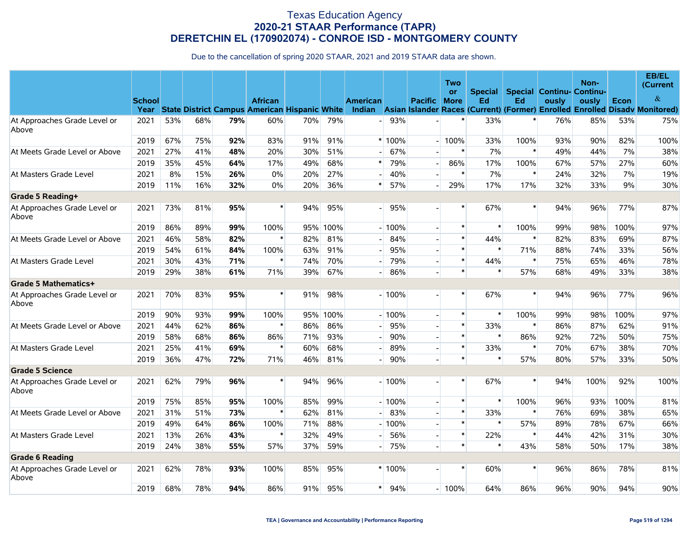|                                       |               |     |     |     |                                                      |     |          |                 |          |                          | Two                      |        |        |                                            | Non-  |      | EB/EL<br>(Current                                                                  |
|---------------------------------------|---------------|-----|-----|-----|------------------------------------------------------|-----|----------|-----------------|----------|--------------------------|--------------------------|--------|--------|--------------------------------------------|-------|------|------------------------------------------------------------------------------------|
|                                       | <b>School</b> |     |     |     | <b>African</b>                                       |     |          | <b>American</b> |          | <b>Pacific</b>           | <b>or</b><br><b>More</b> | Ed     | Ed     | Special Special Continu- Continu-<br>ously | ously | Econ | $\&$                                                                               |
|                                       | Year          |     |     |     | <b>State District Campus American Hispanic White</b> |     |          |                 |          |                          |                          |        |        |                                            |       |      | Indian Asian Islander Races (Current) (Former) Enrolled Enrolled Disady Monitored) |
| At Approaches Grade Level or<br>Above | 2021          | 53% | 68% | 79% | 60%                                                  | 70% | 79%      |                 | 93%      |                          |                          | 33%    |        | 76%                                        | 85%   | 53%  | 75%                                                                                |
|                                       | 2019          | 67% | 75% | 92% | 83%                                                  | 91% | 91%      |                 | * 100%   |                          | 100%                     | 33%    | 100%   | 93%                                        | 90%   | 82%  | 100%                                                                               |
| At Meets Grade Level or Above         | 2021          | 27% | 41% | 48% | 20%                                                  | 30% | 51%      |                 | 67%      |                          | $\ast$                   | 7%     | $\ast$ | 49%                                        | 44%   | 7%   | 38%                                                                                |
|                                       | 2019          | 35% | 45% | 64% | 17%                                                  | 49% | 68%      |                 | 79%      |                          | 86%                      | 17%    | 100%   | 67%                                        | 57%   | 27%  | 60%                                                                                |
| At Masters Grade Level                | 2021          | 8%  | 15% | 26% | 0%                                                   | 20% | 27%      |                 | 40%      | $\overline{\phantom{a}}$ | $\ast$                   | 7%     | $\ast$ | 24%                                        | 32%   | 7%   | 19%                                                                                |
|                                       | 2019          | 11% | 16% | 32% | 0%                                                   | 20% | 36%      |                 | 57%      |                          | 29%                      | 17%    | 17%    | 32%                                        | 33%   | 9%   | 30%                                                                                |
| Grade 5 Reading+                      |               |     |     |     |                                                      |     |          |                 |          |                          |                          |        |        |                                            |       |      |                                                                                    |
| At Approaches Grade Level or<br>Above | 2021          | 73% | 81% | 95% | $\ast$                                               | 94% | 95%      | $\overline{a}$  | 95%      |                          | $\ast$                   | 67%    | $\ast$ | 94%                                        | 96%   | 77%  | 87%                                                                                |
|                                       | 2019          | 86% | 89% | 99% | 100%                                                 |     | 95% 100% |                 | $-100%$  | $\overline{\phantom{a}}$ | $\pmb{\ast}$             | $\ast$ | 100%   | 99%                                        | 98%   | 100% | 97%                                                                                |
| At Meets Grade Level or Above         | 2021          | 46% | 58% | 82% | $\ast$                                               | 82% | 81%      |                 | 84%      |                          | $\ast$                   | 44%    | $\ast$ | 82%                                        | 83%   | 69%  | 87%                                                                                |
|                                       | 2019          | 54% | 61% | 84% | 100%                                                 | 63% | 91%      |                 | 95%      |                          | $\ast$                   | $\ast$ | 71%    | 88%                                        | 74%   | 33%  | 56%                                                                                |
| At Masters Grade Level                | 2021          | 30% | 43% | 71% | $\ast$                                               | 74% | 70%      |                 | 79%      |                          | $\ast$                   | 44%    | $\ast$ | 75%                                        | 65%   | 46%  | 78%                                                                                |
|                                       | 2019          | 29% | 38% | 61% | 71%                                                  | 39% | 67%      |                 | 86%      |                          | $\ast$                   | $\ast$ | 57%    | 68%                                        | 49%   | 33%  | 38%                                                                                |
| <b>Grade 5 Mathematics+</b>           |               |     |     |     |                                                      |     |          |                 |          |                          |                          |        |        |                                            |       |      |                                                                                    |
| At Approaches Grade Level or<br>Above | 2021          | 70% | 83% | 95% | $\ast$                                               | 91% | 98%      |                 | $-100%$  |                          | $\ast$                   | 67%    | $\ast$ | 94%                                        | 96%   | 77%  | 96%                                                                                |
|                                       | 2019          | 90% | 93% | 99% | 100%                                                 | 95% | 100%     |                 | $-100%$  |                          | $\ast$                   | $\ast$ | 100%   | 99%                                        | 98%   | 100% | 97%                                                                                |
| At Meets Grade Level or Above         | 2021          | 44% | 62% | 86% | $\ast$                                               | 86% | 86%      |                 | 95%      |                          | $\ast$                   | 33%    | $\ast$ | 86%                                        | 87%   | 62%  | 91%                                                                                |
|                                       | 2019          | 58% | 68% | 86% | 86%                                                  | 71% | 93%      |                 | 90%      |                          | $\ast$                   | $\ast$ | 86%    | 92%                                        | 72%   | 50%  | 75%                                                                                |
| At Masters Grade Level                | 2021          | 25% | 41% | 69% | $\ast$                                               | 60% | 68%      |                 | 89%      |                          | $\ast$                   | 33%    | $\ast$ | 70%                                        | 67%   | 38%  | 70%                                                                                |
|                                       | 2019          | 36% | 47% | 72% | 71%                                                  | 46% | 81%      |                 | 90%      |                          | $\ast$                   | $\ast$ | 57%    | 80%                                        | 57%   | 33%  | 50%                                                                                |
| <b>Grade 5 Science</b>                |               |     |     |     |                                                      |     |          |                 |          |                          |                          |        |        |                                            |       |      |                                                                                    |
| At Approaches Grade Level or<br>Above | 2021          | 62% | 79% | 96% | $\ast$                                               | 94% | 96%      |                 | $-100%$  |                          | $\ast$                   | 67%    | $\ast$ | 94%                                        | 100%  | 92%  | 100%                                                                               |
|                                       | 2019          | 75% | 85% | 95% | 100%                                                 | 85% | 99%      |                 | $-100%$  | $\overline{\phantom{a}}$ | $\ast$                   | $\ast$ | 100%   | 96%                                        | 93%   | 100% | 81%                                                                                |
| At Meets Grade Level or Above         | 2021          | 31% | 51% | 73% | ∗                                                    | 62% | 81%      |                 | 83%      | $\overline{\phantom{a}}$ | $\ast$                   | 33%    | $\ast$ | 76%                                        | 69%   | 38%  | 65%                                                                                |
|                                       | 2019          | 49% | 64% | 86% | 100%                                                 | 71% | 88%      |                 | $-100%$  | $\overline{\phantom{a}}$ | $\ast$                   | $\ast$ | 57%    | 89%                                        | 78%   | 67%  | 66%                                                                                |
| At Masters Grade Level                | 2021          | 13% | 26% | 43% | $\ast$                                               | 32% | 49%      |                 | 56%      | $\overline{\phantom{a}}$ | $\ast$                   | 22%    | $\ast$ | 44%                                        | 42%   | 31%  | 30%                                                                                |
|                                       | 2019          | 24% | 38% | 55% | 57%                                                  | 37% | 59%      |                 | 75%      |                          | $\ast$                   | $\ast$ | 43%    | 58%                                        | 50%   | 17%  | 38%                                                                                |
| <b>Grade 6 Reading</b>                |               |     |     |     |                                                      |     |          |                 |          |                          |                          |        |        |                                            |       |      |                                                                                    |
| At Approaches Grade Level or<br>Above | 2021          | 62% | 78% | 93% | 100%                                                 | 85% | 95%      |                 | $*100\%$ |                          | $\ast$                   | 60%    | $\ast$ | 96%                                        | 86%   | 78%  | 81%                                                                                |
|                                       | 2019          | 68% | 78% | 94% | 86%                                                  | 91% | 95%      | $\ast$          | 94%      |                          | $-100%$                  | 64%    | 86%    | 96%                                        | 90%   | 94%  | 90%                                                                                |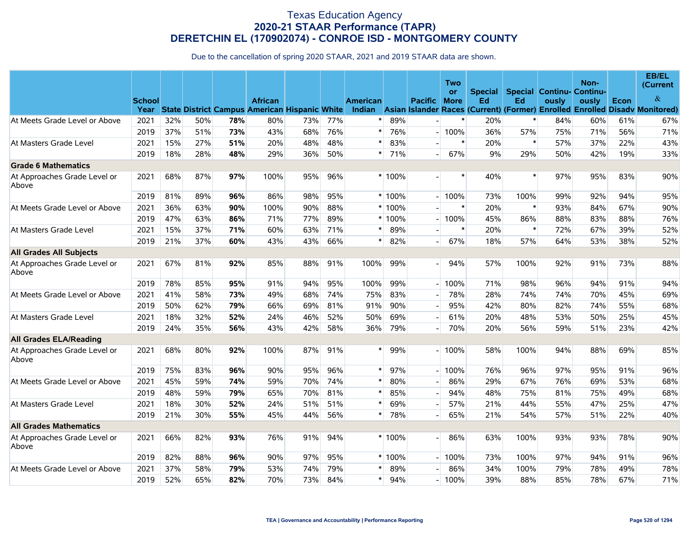|                                       |               |     |     |     |                                                                      |     |     |                           |          |                | Two<br>or   | Special |        | <b>Special Continu- Continu-</b> | Non-  |      | EB/EL<br>(Current<br>$\&$                                                   |
|---------------------------------------|---------------|-----|-----|-----|----------------------------------------------------------------------|-----|-----|---------------------------|----------|----------------|-------------|---------|--------|----------------------------------|-------|------|-----------------------------------------------------------------------------|
|                                       | <b>School</b> |     |     |     | <b>African</b><br>Year State District Campus American Hispanic White |     |     | <b>American</b><br>Indian |          | <b>Pacific</b> | <b>More</b> | Ed      | Ed     | ously                            | ously | Econ | Asian Islander Races (Current) (Former) Enrolled Enrolled Disady Monitored) |
| At Meets Grade Level or Above         | 2021          | 32% | 50% | 78% | 80%                                                                  | 73% | 77% |                           | 89%      |                | $\ast$      | 20%     | $\ast$ | 84%                              | 60%   | 61%  | 67%                                                                         |
|                                       | 2019          | 37% | 51% | 73% | 43%                                                                  | 68% | 76% |                           | 76%      |                | 100%        | 36%     | 57%    | 75%                              | 71%   | 56%  | 71%                                                                         |
| At Masters Grade Level                | 2021          | 15% | 27% | 51% | 20%                                                                  | 48% | 48% |                           | 83%      |                | $\ast$      | 20%     | $\ast$ | 57%                              | 37%   | 22%  | 43%                                                                         |
|                                       | 2019          | 18% | 28% | 48% | 29%                                                                  | 36% | 50% |                           | 71%      |                | 67%         | 9%      | 29%    | 50%                              | 42%   | 19%  | 33%                                                                         |
| <b>Grade 6 Mathematics</b>            |               |     |     |     |                                                                      |     |     |                           |          |                |             |         |        |                                  |       |      |                                                                             |
| At Approaches Grade Level or<br>Above | 2021          | 68% | 87% | 97% | 100%                                                                 | 95% | 96% |                           | * 100%   |                | $\ast$      | 40%     | $\ast$ | 97%                              | 95%   | 83%  | 90%                                                                         |
|                                       | 2019          | 81% | 89% | 96% | 86%                                                                  | 98% | 95% |                           | $*100%$  | - 1            | 100%        | 73%     | 100%   | 99%                              | 92%   | 94%  | 95%                                                                         |
| At Meets Grade Level or Above         | 2021          | 36% | 63% | 90% | 100%                                                                 | 90% | 88% |                           | * 100%   |                | $\ast$      | 20%     | $\ast$ | 93%                              | 84%   | 67%  | 90%                                                                         |
|                                       | 2019          | 47% | 63% | 86% | 71%                                                                  | 77% | 89% |                           | $*100%$  |                | 100%        | 45%     | 86%    | 88%                              | 83%   | 88%  | 76%                                                                         |
| At Masters Grade Level                | 2021          | 15% | 37% | 71% | 60%                                                                  | 63% | 71% |                           | 89%      |                | $\ast$      | 20%     | $\ast$ | 72%                              | 67%   | 39%  | 52%                                                                         |
|                                       | 2019          | 21% | 37% | 60% | 43%                                                                  | 43% | 66% | $\ast$                    | 82%      |                | 67%         | 18%     | 57%    | 64%                              | 53%   | 38%  | 52%                                                                         |
| <b>All Grades All Subjects</b>        |               |     |     |     |                                                                      |     |     |                           |          |                |             |         |        |                                  |       |      |                                                                             |
| At Approaches Grade Level or<br>Above | 2021          | 67% | 81% | 92% | 85%                                                                  | 88% | 91% | 100%                      | 99%      |                | 94%         | 57%     | 100%   | 92%                              | 91%   | 73%  | 88%                                                                         |
|                                       | 2019          | 78% | 85% | 95% | 91%                                                                  | 94% | 95% | 100%                      | 99%      |                | 100%        | 71%     | 98%    | 96%                              | 94%   | 91%  | 94%                                                                         |
| At Meets Grade Level or Above         | 2021          | 41% | 58% | 73% | 49%                                                                  | 68% | 74% | 75%                       | 83%      |                | 78%         | 28%     | 74%    | 74%                              | 70%   | 45%  | 69%                                                                         |
|                                       | 2019          | 50% | 62% | 79% | 66%                                                                  | 69% | 81% | 91%                       | 90%      |                | 95%         | 42%     | 80%    | 82%                              | 74%   | 55%  | 68%                                                                         |
| At Masters Grade Level                | 2021          | 18% | 32% | 52% | 24%                                                                  | 46% | 52% | 50%                       | 69%      |                | 61%         | 20%     | 48%    | 53%                              | 50%   | 25%  | 45%                                                                         |
|                                       | 2019          | 24% | 35% | 56% | 43%                                                                  | 42% | 58% | 36%                       | 79%      |                | 70%         | 20%     | 56%    | 59%                              | 51%   | 23%  | 42%                                                                         |
| <b>All Grades ELA/Reading</b>         |               |     |     |     |                                                                      |     |     |                           |          |                |             |         |        |                                  |       |      |                                                                             |
| At Approaches Grade Level or<br>Above | 2021          | 68% | 80% | 92% | 100%                                                                 | 87% | 91% | $\ast$                    | 99%      |                | 100%        | 58%     | 100%   | 94%                              | 88%   | 69%  | 85%                                                                         |
|                                       | 2019          | 75% | 83% | 96% | 90%                                                                  | 95% | 96% | $\ast$                    | 97%      |                | 100%        | 76%     | 96%    | 97%                              | 95%   | 91%  | 96%                                                                         |
| At Meets Grade Level or Above         | 2021          | 45% | 59% | 74% | 59%                                                                  | 70% | 74% | $\ast$                    | 80%      |                | 86%         | 29%     | 67%    | 76%                              | 69%   | 53%  | 68%                                                                         |
|                                       | 2019          | 48% | 59% | 79% | 65%                                                                  | 70% | 81% | $\ast$                    | 85%      |                | 94%         | 48%     | 75%    | 81%                              | 75%   | 49%  | 68%                                                                         |
| At Masters Grade Level                | 2021          | 18% | 30% | 52% | 24%                                                                  | 51% | 51% | $\ast$                    | 69%      |                | 57%         | 21%     | 44%    | 55%                              | 47%   | 25%  | 47%                                                                         |
|                                       | 2019          | 21% | 30% | 55% | 45%                                                                  | 44% | 56% | $\ast$                    | 78%      |                | 65%         | 21%     | 54%    | 57%                              | 51%   | 22%  | 40%                                                                         |
| <b>All Grades Mathematics</b>         |               |     |     |     |                                                                      |     |     |                           |          |                |             |         |        |                                  |       |      |                                                                             |
| At Approaches Grade Level or<br>Above | 2021          | 66% | 82% | 93% | 76%                                                                  | 91% | 94% |                           | $*100\%$ |                | 86%         | 63%     | 100%   | 93%                              | 93%   | 78%  | 90%                                                                         |
|                                       | 2019          | 82% | 88% | 96% | 90%                                                                  | 97% | 95% |                           | $*100%$  |                | 100%        | 73%     | 100%   | 97%                              | 94%   | 91%  | 96%                                                                         |
| At Meets Grade Level or Above         | 2021          | 37% | 58% | 79% | 53%                                                                  | 74% | 79% |                           | 89%      |                | 86%         | 34%     | 100%   | 79%                              | 78%   | 49%  | 78%                                                                         |
|                                       | 2019          | 52% | 65% | 82% | 70%                                                                  | 73% | 84% |                           | 94%      |                | $-100%$     | 39%     | 88%    | 85%                              | 78%   | 67%  | 71%                                                                         |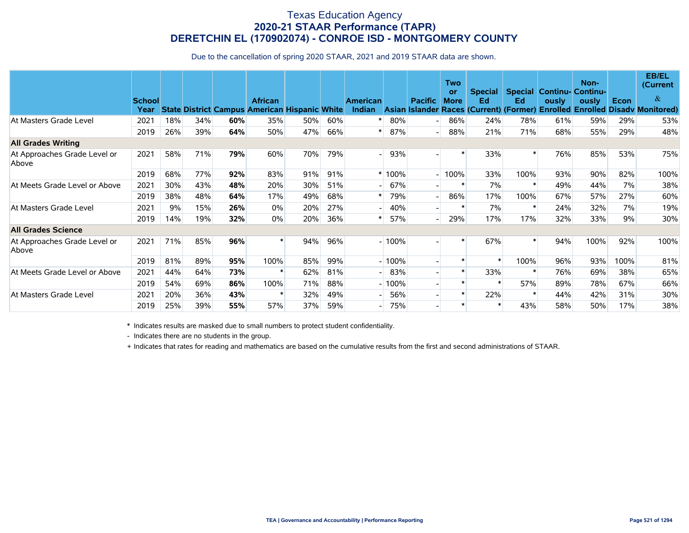Due to the cancellation of spring 2020 STAAR, 2021 and 2019 STAAR data are shown.

|                                       | <b>School</b><br>Year |     |     |     | <b>African</b><br><b>State District Campus American Hispanic White</b> |     |     | American<br>Indian |          | <b>Pacific</b> | <b>Two</b><br>or<br><b>More</b> | <b>Special</b><br>Ed | Ed     | ously | Non-<br><b>Special Continu- Continu-</b><br>ously | Econ | <b>EB/EL</b><br>(Current<br>$\&$<br>Asian Islander Races (Current) (Former) Enrolled Enrolled Disady Monitored) |
|---------------------------------------|-----------------------|-----|-----|-----|------------------------------------------------------------------------|-----|-----|--------------------|----------|----------------|---------------------------------|----------------------|--------|-------|---------------------------------------------------|------|-----------------------------------------------------------------------------------------------------------------|
| At Masters Grade Level                | 2021                  | 18% | 34% | 60% | 35%                                                                    | 50% | 60% | $\ast$             | 80%      |                | 86%                             | 24%                  | 78%    | 61%   | 59%                                               | 29%  | 53%                                                                                                             |
|                                       | 2019                  | 26% | 39% | 64% | 50%                                                                    | 47% | 66% | $\ast$             | 87%      |                | 88%                             | 21%                  | 71%    | 68%   | 55%                                               | 29%  | 48%                                                                                                             |
| <b>All Grades Writing</b>             |                       |     |     |     |                                                                        |     |     |                    |          |                |                                 |                      |        |       |                                                   |      |                                                                                                                 |
| At Approaches Grade Level or<br>Above | 2021                  | 58% | 71% | 79% | 60%                                                                    | 70% | 79% | ا ہے۔              | 93%      |                | $\ast$                          | 33%                  | $\ast$ | 76%   | 85%                                               | 53%  | 75%                                                                                                             |
|                                       | 2019                  | 68% | 77% | 92% | 83%                                                                    | 91% | 91% |                    | $*100\%$ |                | 100%                            | 33%                  | 100%   | 93%   | 90%                                               | 82%  | 100%                                                                                                            |
| At Meets Grade Level or Above         | 2021                  | 30% | 43% | 48% | 20%                                                                    | 30% | 51% |                    | 67%      |                | $\ast$                          | 7%                   | $\ast$ | 49%   | 44%                                               | 7%   | 38%                                                                                                             |
|                                       | 2019                  | 38% | 48% | 64% | 17%                                                                    | 49% | 68% |                    | 79%      |                | 86%                             | 17%                  | 100%   | 67%   | 57%                                               | 27%  | 60%                                                                                                             |
| At Masters Grade Level                | 2021                  | 9%  | 15% | 26% | $0\%$                                                                  | 20% | 27% |                    | 40%      | $\blacksquare$ | $\ast$                          | 7%                   | $\ast$ | 24%   | 32%                                               | 7%   | 19%                                                                                                             |
|                                       | 2019                  | 14% | 19% | 32% | 0%                                                                     | 20% | 36% |                    | 57%      |                | 29%                             | 17%                  | 17%    | 32%   | 33%                                               | 9%   | 30%                                                                                                             |
| <b>All Grades Science</b>             |                       |     |     |     |                                                                        |     |     |                    |          |                |                                 |                      |        |       |                                                   |      |                                                                                                                 |
| At Approaches Grade Level or<br>Above | 2021                  | 71% | 85% | 96% | $\ast$                                                                 | 94% | 96% |                    | $-100%$  |                | $\ast$                          | 67%                  | $\ast$ | 94%   | 100%                                              | 92%  | 100%                                                                                                            |
|                                       | 2019                  | 81% | 89% | 95% | 100%                                                                   | 85% | 99% |                    | $-100%$  |                | $\ast$                          |                      | 100%   | 96%   | 93%                                               | 100% | 81%                                                                                                             |
| At Meets Grade Level or Above         | 2021                  | 44% | 64% | 73% | ∗                                                                      | 62% | 81% |                    | 83%      |                | $\ast$                          | 33%                  | $\ast$ | 76%   | 69%                                               | 38%  | 65%                                                                                                             |
|                                       | 2019                  | 54% | 69% | 86% | 100%                                                                   | 71% | 88% |                    | $-100%$  |                | $\ast$                          | $\ast$               | 57%    | 89%   | 78%                                               | 67%  | 66%                                                                                                             |
| At Masters Grade Level                | 2021                  | 20% | 36% | 43% | $\ast$                                                                 | 32% | 49% |                    | 56%      |                | $\ast$                          | 22%                  | $\ast$ | 44%   | 42%                                               | 31%  | 30%                                                                                                             |
|                                       | 2019                  | 25% | 39% | 55% | 57%                                                                    | 37% | 59% |                    | 75%      |                |                                 | $\ast$               | 43%    | 58%   | 50%                                               | 17%  | 38%                                                                                                             |

\* Indicates results are masked due to small numbers to protect student confidentiality.

- Indicates there are no students in the group.

+ Indicates that rates for reading and mathematics are based on the cumulative results from the first and second administrations of STAAR.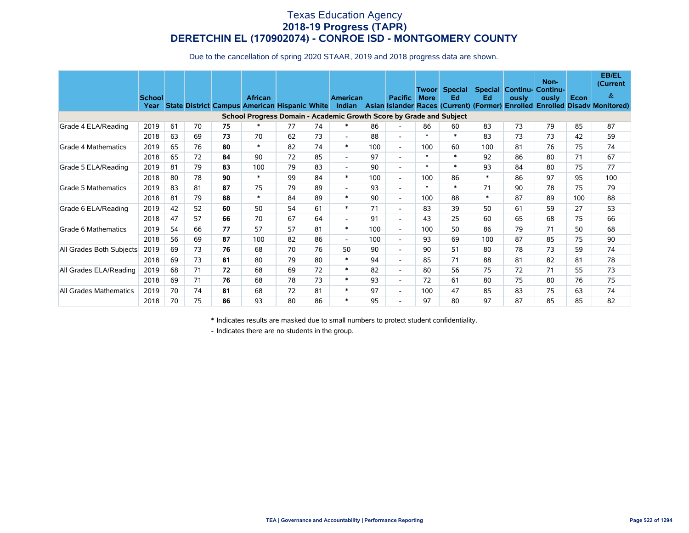Due to the cancellation of spring 2020 STAAR, 2019 and 2018 progress data are shown.

|                          | <b>School</b> |    |    |    | <b>African</b><br>Year State District Campus American Hispanic White |    |    | <b>American</b>          |     | <b>Pacific</b>           | <b>Twoor</b><br><b>More</b> | Special<br>Ed | Ed     | <b>Special Continu- Continu-</b><br>ously | Non-<br>ously | Econ | <b>EB/EL</b><br>(Current<br>$\alpha$<br>Indian Asian Islander Races (Current) (Former) Enrolled Enrolled Disady Monitored) |
|--------------------------|---------------|----|----|----|----------------------------------------------------------------------|----|----|--------------------------|-----|--------------------------|-----------------------------|---------------|--------|-------------------------------------------|---------------|------|----------------------------------------------------------------------------------------------------------------------------|
|                          |               |    |    |    | School Progress Domain - Academic Growth Score by Grade and Subject  |    |    |                          |     |                          |                             |               |        |                                           |               |      |                                                                                                                            |
| Grade 4 ELA/Reading      | 2019          | 61 | 70 | 75 | ∗                                                                    | 77 | 74 | $\ast$                   | 86  | $\overline{\phantom{a}}$ | 86                          | 60            | 83     | 73                                        | 79            | 85   | 87                                                                                                                         |
|                          | 2018          | 63 | 69 | 73 | 70                                                                   | 62 | 73 | $\overline{\phantom{a}}$ | 88  | $\overline{\phantom{a}}$ | $\ast$                      | $\ast$        | 83     | 73                                        | 73            | 42   | 59                                                                                                                         |
| Grade 4 Mathematics      | 2019          | 65 | 76 | 80 | $\ast$                                                               | 82 | 74 | $\ast$                   | 100 | $\overline{\phantom{a}}$ | 100                         | 60            | 100    | 81                                        | 76            | 75   | 74                                                                                                                         |
|                          | 2018          | 65 | 72 | 84 | 90                                                                   | 72 | 85 | $\overline{\phantom{a}}$ | 97  | $\overline{\phantom{a}}$ | $\ast$                      | $\ast$        | 92     | 86                                        | 80            | 71   | 67                                                                                                                         |
| Grade 5 ELA/Reading      | 2019          | 81 | 79 | 83 | 100                                                                  | 79 | 83 | $\overline{\phantom{a}}$ | 90  | $\overline{\phantom{a}}$ | $\ast$                      | $\ast$        | 93     | 84                                        | 80            | 75   | 77                                                                                                                         |
|                          | 2018          | 80 | 78 | 90 | $\ast$                                                               | 99 | 84 | $\ast$                   | 100 | $\overline{\phantom{a}}$ | 100                         | 86            | $\ast$ | 86                                        | 97            | 95   | 100                                                                                                                        |
| Grade 5 Mathematics      | 2019          | 83 | 81 | 87 | 75                                                                   | 79 | 89 | $\overline{\phantom{a}}$ | 93  | $\overline{\phantom{a}}$ | $\ast$                      | $\ast$        | 71     | 90                                        | 78            | 75   | 79                                                                                                                         |
|                          | 2018          | 81 | 79 | 88 | $\ast$                                                               | 84 | 89 | $\ast$                   | 90  | $\overline{\phantom{a}}$ | 100                         | 88            | $\ast$ | 87                                        | 89            | 100  | 88                                                                                                                         |
| Grade 6 ELA/Reading      | 2019          | 42 | 52 | 60 | 50                                                                   | 54 | 61 | $\ast$                   | 71  | $\overline{\phantom{a}}$ | 83                          | 39            | 50     | 61                                        | 59            | 27   | 53                                                                                                                         |
|                          | 2018          | 47 | 57 | 66 | 70                                                                   | 67 | 64 | $\overline{\phantom{a}}$ | 91  | $\overline{\phantom{a}}$ | 43                          | 25            | 60     | 65                                        | 68            | 75   | 66                                                                                                                         |
| Grade 6 Mathematics      | 2019          | 54 | 66 | 77 | 57                                                                   | 57 | 81 | $\ast$                   | 100 | $\overline{\phantom{a}}$ | 100                         | 50            | 86     | 79                                        | 71            | 50   | 68                                                                                                                         |
|                          | 2018          | 56 | 69 | 87 | 100                                                                  | 82 | 86 | $\overline{\phantom{a}}$ | 100 | $\overline{\phantom{a}}$ | 93                          | 69            | 100    | 87                                        | 85            | 75   | 90                                                                                                                         |
| All Grades Both Subjects | 2019          | 69 | 73 | 76 | 68                                                                   | 70 | 76 | 50                       | 90  | $\overline{\phantom{a}}$ | 90                          | 51            | 80     | 78                                        | 73            | 59   | 74                                                                                                                         |
|                          | 2018          | 69 | 73 | 81 | 80                                                                   | 79 | 80 | $\ast$                   | 94  | $\overline{\phantom{a}}$ | 85                          | 71            | 88     | 81                                        | 82            | 81   | 78                                                                                                                         |
| All Grades ELA/Reading   | 2019          | 68 | 71 | 72 | 68                                                                   | 69 | 72 | $\ast$                   | 82  | $\overline{\phantom{a}}$ | 80                          | 56            | 75     | 72                                        | 71            | 55   | 73                                                                                                                         |
|                          | 2018          | 69 | 71 | 76 | 68                                                                   | 78 | 73 | $\ast$                   | 93  | $\overline{\phantom{a}}$ | 72                          | 61            | 80     | 75                                        | 80            | 76   | 75                                                                                                                         |
| All Grades Mathematics   | 2019          | 70 | 74 | 81 | 68                                                                   | 72 | 81 | $\ast$                   | 97  | $\overline{\phantom{a}}$ | 100                         | 47            | 85     | 83                                        | 75            | 63   | 74                                                                                                                         |
|                          | 2018          | 70 | 75 | 86 | 93                                                                   | 80 | 86 | $\ast$                   | 95  |                          | 97                          | 80            | 97     | 87                                        | 85            | 85   | 82                                                                                                                         |

\* Indicates results are masked due to small numbers to protect student confidentiality.

- Indicates there are no students in the group.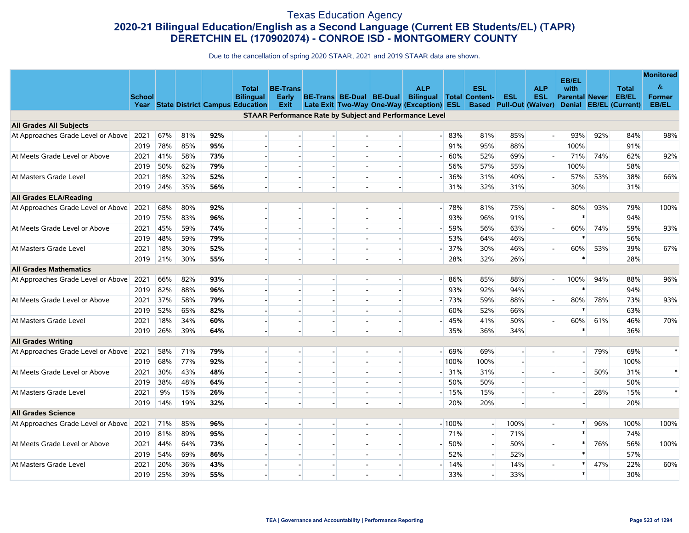# Texas Education Agency **2020-21 Bilingual Education/English as a Second Language (Current EB Students/EL) (TAPR) DERETCHIN EL (170902074) - CONROE ISD - MONTGOMERY COUNTY**

| $\&$<br><b>ALP</b><br><b>ESL</b><br><b>ALP</b><br><b>Total</b><br><b>BE-Trans</b><br>with<br><b>Total</b><br><b>Bilingual Total Content-</b><br><b>School</b><br><b>Early</b><br><b>BE-Trans BE-Dual BE-Dual</b><br><b>ESL</b><br><b>ESL</b><br><b>Parental Never</b><br><b>EB/EL</b><br><b>Bilingual</b><br><b>Former</b><br>Exit<br>Late Exit Two-Way One-Way (Exception) ESL<br><b>Based</b> Pull-Out (Waiver)<br><b>Year State District Campus Education</b><br><b>Denial</b><br><b>EB/EL (Current)</b><br>EB/EL<br><b>STAAR Performance Rate by Subject and Performance Level</b><br><b>All Grades All Subjects</b><br>67%<br>92%<br>98%<br>2021<br>81%<br>92%<br>$-183%$<br>81%<br>85%<br>$\blacksquare$<br>93%<br>84%<br>At Approaches Grade Level or Above<br>$\overline{\phantom{a}}$<br>$\blacksquare$<br>$\sim$<br>78%<br>95%<br>91%<br>95%<br>88%<br>100%<br>91%<br>2019<br>85%<br>$\overline{a}$<br>$\overline{a}$<br>92%<br>41%<br>58%<br>73%<br>52%<br>69%<br>74%<br>62%<br>At Meets Grade Level or Above<br>2021<br>60%<br>71%<br>$\overline{\phantom{a}}$<br>$\overline{a}$<br>$\overline{\phantom{a}}$<br>$\sim$<br>$\overline{a}$<br>50%<br>62%<br>79%<br>56%<br>57%<br>55%<br>100%<br>58%<br>2019<br>$\overline{\phantom{a}}$<br>$\overline{\phantom{a}}$<br>66%<br>At Masters Grade Level<br>18%<br>32%<br>52%<br>$-36%$<br>31%<br>40%<br>$\mathbf{r}$<br>57%<br>53%<br>38%<br>2021<br>24%<br>35%<br>56%<br>31%<br>32%<br>31%<br>30%<br>31%<br>2019<br>$\sim$<br><b>All Grades ELA/Reading</b><br>2021<br>68%<br>80%<br>92%<br>$-78%$<br>81%<br>75%<br>80%<br>93%<br>79%<br>100%<br>At Approaches Grade Level or Above<br>$\overline{\phantom{a}}$<br>$\overline{\phantom{a}}$<br>$\overline{\phantom{a}}$<br>$\overline{\phantom{a}}$<br>$\blacksquare$<br>75%<br>83%<br>96%<br>93%<br>96%<br>91%<br>$\ast$<br>94%<br>2019<br>45%<br>74%<br>60%<br>74%<br>93%<br>At Meets Grade Level or Above<br>2021<br>59%<br>59%<br>56%<br>63%<br>59%<br>$\sim$<br>$\sim$<br>$\sim$<br>$\overline{\phantom{a}}$<br>48%<br>59%<br>79%<br>56%<br>2019<br>53%<br>64%<br>46%<br>$\ast$<br>$\sim$<br>$\overline{\phantom{0}}$<br>At Masters Grade Level<br>18%<br>30%<br>52%<br>37%<br>46%<br>60%<br>53%<br>39%<br>67%<br>2021<br>30%<br>$\overline{\phantom{a}}$<br>21%<br>30%<br>55%<br>28%<br>32%<br>28%<br>2019<br>26%<br>$\ast$<br>$\sim$<br><b>All Grades Mathematics</b><br>2021<br>66%<br>82%<br>93%<br>$-86%$<br>85%<br>88%<br>100%<br>94%<br>88%<br>96%<br>At Approaches Grade Level or Above<br>$\overline{\phantom{a}}$<br>$\overline{\phantom{a}}$<br>$\overline{\phantom{a}}$<br>$\overline{\phantom{a}}$<br>$\overline{\phantom{a}}$<br>82%<br>88%<br>96%<br>92%<br>93%<br>94%<br>$\ast$<br>94%<br>2019<br>93%<br>37%<br>58%<br>79%<br>73%<br>59%<br>88%<br>80%<br>78%<br>73%<br>At Meets Grade Level or Above<br>2021<br>$\overline{a}$<br>$\sim$<br>$\overline{a}$<br>$\overline{\phantom{a}}$<br>52%<br>65%<br>82%<br>60%<br>66%<br>$\ast$<br>63%<br>2019<br>52%<br>$\sim$<br>$\sim$<br>$\sim$<br>46%<br>At Masters Grade Level<br>2021<br>18%<br>34%<br>60%<br>$-45%$<br>41%<br>50%<br>60%<br>61%<br>70%<br>$\overline{\phantom{a}}$<br>$\overline{a}$<br>$\overline{a}$<br>$\overline{\phantom{a}}$<br>39%<br>64%<br>35%<br>36%<br>26%<br>36%<br>34%<br>$\ast$<br>2019<br><b>All Grades Writing</b><br>58%<br>79%<br>$- 69%$<br>69%<br>79%<br>69%<br>2021<br>71%<br>$\ast$<br>At Approaches Grade Level or Above<br>$\overline{a}$<br>$\blacksquare$<br>$\overline{\phantom{a}}$<br>- 1<br>$\overline{\phantom{a}}$<br>$\overline{\phantom{a}}$<br>77%<br>68%<br>92%<br>100%<br>100%<br>100%<br>2019<br>30%<br>43%<br>48%<br>31%<br>50%<br>31%<br>$\ast$<br>At Meets Grade Level or Above<br>2021<br>$-$ 31%<br>$\overline{a}$<br>$\sim$<br>50%<br>38%<br>48%<br>64%<br>50%<br>50%<br>2019<br>$\overline{\phantom{a}}$<br>$\overline{a}$<br>$\sim$<br>15%<br>28%<br>15%<br>At Masters Grade Level<br>9%<br>15%<br>26%<br>$-15%$<br>$\ast$<br>2021<br>$\overline{a}$<br>$\overline{\phantom{a}}$<br>$\overline{a}$<br>$\overline{\phantom{a}}$<br>32%<br>20%<br>20%<br>20%<br>2019<br>14%<br>19%<br><b>All Grades Science</b><br>2021<br>71%<br>85%<br>96%<br>$-100%$<br>100%<br>96%<br>100%<br>100%<br>$*$<br>At Approaches Grade Level or Above<br>$\sim$<br>$\sim$<br>$\overline{\phantom{a}}$<br>$\overline{\phantom{a}}$<br>$\blacksquare$<br>81%<br>89%<br>95%<br>71%<br>$\ast$<br>74%<br>2019<br>71%<br>$\overline{\phantom{a}}$<br>$\blacksquare$<br>$\overline{a}$<br>73%<br>50%<br>56%<br>100%<br>At Meets Grade Level or Above<br>44%<br>64%<br>50%<br>$\ast$<br>76%<br>2021<br>$\sim$<br>$\overline{\phantom{a}}$<br>$\ast$<br>54%<br>69%<br>86%<br>52%<br>52%<br>57%<br>2019<br>$\overline{\phantom{a}}$<br>36%<br>43%<br>47%<br>22%<br>60%<br>At Masters Grade Level<br>20%<br>$-14%$<br>14%<br>$\ast$<br>2021<br>$\overline{a}$<br>$\overline{\phantom{a}}$<br>$\overline{\phantom{a}}$<br>$\ast$<br>25%<br>39%<br>55%<br>33%<br>33%<br>30%<br>2019 |  |  |  |  |  |  |  |       |  | <b>Monitored</b> |
|--------------------------------------------------------------------------------------------------------------------------------------------------------------------------------------------------------------------------------------------------------------------------------------------------------------------------------------------------------------------------------------------------------------------------------------------------------------------------------------------------------------------------------------------------------------------------------------------------------------------------------------------------------------------------------------------------------------------------------------------------------------------------------------------------------------------------------------------------------------------------------------------------------------------------------------------------------------------------------------------------------------------------------------------------------------------------------------------------------------------------------------------------------------------------------------------------------------------------------------------------------------------------------------------------------------------------------------------------------------------------------------------------------------------------------------------------------------------------------------------------------------------------------------------------------------------------------------------------------------------------------------------------------------------------------------------------------------------------------------------------------------------------------------------------------------------------------------------------------------------------------------------------------------------------------------------------------------------------------------------------------------------------------------------------------------------------------------------------------------------------------------------------------------------------------------------------------------------------------------------------------------------------------------------------------------------------------------------------------------------------------------------------------------------------------------------------------------------------------------------------------------------------------------------------------------------------------------------------------------------------------------------------------------------------------------------------------------------------------------------------------------------------------------------------------------------------------------------------------------------------------------------------------------------------------------------------------------------------------------------------------------------------------------------------------------------------------------------------------------------------------------------------------------------------------------------------------------------------------------------------------------------------------------------------------------------------------------------------------------------------------------------------------------------------------------------------------------------------------------------------------------------------------------------------------------------------------------------------------------------------------------------------------------------------------------------------------------------------------------------------------------------------------------------------------------------------------------------------------------------------------------------------------------------------------------------------------------------------------------------------------------------------------------------------------------------------------------------------------------------------------------------------------------------------------------------------------------------------------------------------------------------------------------------------------------------------------------------------------------------------------------------------------------------------------------------------------------------------------------------------------------------------------------------------------------------------------------------------------------------------------------------------------------------------------------------------------------------------------------------------------------------------------------------------------------------------------------------------------------------------------------------------------------------------------------------------------------------------------------------|--|--|--|--|--|--|--|-------|--|------------------|
|                                                                                                                                                                                                                                                                                                                                                                                                                                                                                                                                                                                                                                                                                                                                                                                                                                                                                                                                                                                                                                                                                                                                                                                                                                                                                                                                                                                                                                                                                                                                                                                                                                                                                                                                                                                                                                                                                                                                                                                                                                                                                                                                                                                                                                                                                                                                                                                                                                                                                                                                                                                                                                                                                                                                                                                                                                                                                                                                                                                                                                                                                                                                                                                                                                                                                                                                                                                                                                                                                                                                                                                                                                                                                                                                                                                                                                                                                                                                                                                                                                                                                                                                                                                                                                                                                                                                                                                                                                                                                                                                                                                                                                                                                                                                                                                                                                                                                                                                                                                            |  |  |  |  |  |  |  | EB/EL |  |                  |
|                                                                                                                                                                                                                                                                                                                                                                                                                                                                                                                                                                                                                                                                                                                                                                                                                                                                                                                                                                                                                                                                                                                                                                                                                                                                                                                                                                                                                                                                                                                                                                                                                                                                                                                                                                                                                                                                                                                                                                                                                                                                                                                                                                                                                                                                                                                                                                                                                                                                                                                                                                                                                                                                                                                                                                                                                                                                                                                                                                                                                                                                                                                                                                                                                                                                                                                                                                                                                                                                                                                                                                                                                                                                                                                                                                                                                                                                                                                                                                                                                                                                                                                                                                                                                                                                                                                                                                                                                                                                                                                                                                                                                                                                                                                                                                                                                                                                                                                                                                                            |  |  |  |  |  |  |  |       |  |                  |
|                                                                                                                                                                                                                                                                                                                                                                                                                                                                                                                                                                                                                                                                                                                                                                                                                                                                                                                                                                                                                                                                                                                                                                                                                                                                                                                                                                                                                                                                                                                                                                                                                                                                                                                                                                                                                                                                                                                                                                                                                                                                                                                                                                                                                                                                                                                                                                                                                                                                                                                                                                                                                                                                                                                                                                                                                                                                                                                                                                                                                                                                                                                                                                                                                                                                                                                                                                                                                                                                                                                                                                                                                                                                                                                                                                                                                                                                                                                                                                                                                                                                                                                                                                                                                                                                                                                                                                                                                                                                                                                                                                                                                                                                                                                                                                                                                                                                                                                                                                                            |  |  |  |  |  |  |  |       |  |                  |
|                                                                                                                                                                                                                                                                                                                                                                                                                                                                                                                                                                                                                                                                                                                                                                                                                                                                                                                                                                                                                                                                                                                                                                                                                                                                                                                                                                                                                                                                                                                                                                                                                                                                                                                                                                                                                                                                                                                                                                                                                                                                                                                                                                                                                                                                                                                                                                                                                                                                                                                                                                                                                                                                                                                                                                                                                                                                                                                                                                                                                                                                                                                                                                                                                                                                                                                                                                                                                                                                                                                                                                                                                                                                                                                                                                                                                                                                                                                                                                                                                                                                                                                                                                                                                                                                                                                                                                                                                                                                                                                                                                                                                                                                                                                                                                                                                                                                                                                                                                                            |  |  |  |  |  |  |  |       |  |                  |
|                                                                                                                                                                                                                                                                                                                                                                                                                                                                                                                                                                                                                                                                                                                                                                                                                                                                                                                                                                                                                                                                                                                                                                                                                                                                                                                                                                                                                                                                                                                                                                                                                                                                                                                                                                                                                                                                                                                                                                                                                                                                                                                                                                                                                                                                                                                                                                                                                                                                                                                                                                                                                                                                                                                                                                                                                                                                                                                                                                                                                                                                                                                                                                                                                                                                                                                                                                                                                                                                                                                                                                                                                                                                                                                                                                                                                                                                                                                                                                                                                                                                                                                                                                                                                                                                                                                                                                                                                                                                                                                                                                                                                                                                                                                                                                                                                                                                                                                                                                                            |  |  |  |  |  |  |  |       |  |                  |
|                                                                                                                                                                                                                                                                                                                                                                                                                                                                                                                                                                                                                                                                                                                                                                                                                                                                                                                                                                                                                                                                                                                                                                                                                                                                                                                                                                                                                                                                                                                                                                                                                                                                                                                                                                                                                                                                                                                                                                                                                                                                                                                                                                                                                                                                                                                                                                                                                                                                                                                                                                                                                                                                                                                                                                                                                                                                                                                                                                                                                                                                                                                                                                                                                                                                                                                                                                                                                                                                                                                                                                                                                                                                                                                                                                                                                                                                                                                                                                                                                                                                                                                                                                                                                                                                                                                                                                                                                                                                                                                                                                                                                                                                                                                                                                                                                                                                                                                                                                                            |  |  |  |  |  |  |  |       |  |                  |
|                                                                                                                                                                                                                                                                                                                                                                                                                                                                                                                                                                                                                                                                                                                                                                                                                                                                                                                                                                                                                                                                                                                                                                                                                                                                                                                                                                                                                                                                                                                                                                                                                                                                                                                                                                                                                                                                                                                                                                                                                                                                                                                                                                                                                                                                                                                                                                                                                                                                                                                                                                                                                                                                                                                                                                                                                                                                                                                                                                                                                                                                                                                                                                                                                                                                                                                                                                                                                                                                                                                                                                                                                                                                                                                                                                                                                                                                                                                                                                                                                                                                                                                                                                                                                                                                                                                                                                                                                                                                                                                                                                                                                                                                                                                                                                                                                                                                                                                                                                                            |  |  |  |  |  |  |  |       |  |                  |
|                                                                                                                                                                                                                                                                                                                                                                                                                                                                                                                                                                                                                                                                                                                                                                                                                                                                                                                                                                                                                                                                                                                                                                                                                                                                                                                                                                                                                                                                                                                                                                                                                                                                                                                                                                                                                                                                                                                                                                                                                                                                                                                                                                                                                                                                                                                                                                                                                                                                                                                                                                                                                                                                                                                                                                                                                                                                                                                                                                                                                                                                                                                                                                                                                                                                                                                                                                                                                                                                                                                                                                                                                                                                                                                                                                                                                                                                                                                                                                                                                                                                                                                                                                                                                                                                                                                                                                                                                                                                                                                                                                                                                                                                                                                                                                                                                                                                                                                                                                                            |  |  |  |  |  |  |  |       |  |                  |
|                                                                                                                                                                                                                                                                                                                                                                                                                                                                                                                                                                                                                                                                                                                                                                                                                                                                                                                                                                                                                                                                                                                                                                                                                                                                                                                                                                                                                                                                                                                                                                                                                                                                                                                                                                                                                                                                                                                                                                                                                                                                                                                                                                                                                                                                                                                                                                                                                                                                                                                                                                                                                                                                                                                                                                                                                                                                                                                                                                                                                                                                                                                                                                                                                                                                                                                                                                                                                                                                                                                                                                                                                                                                                                                                                                                                                                                                                                                                                                                                                                                                                                                                                                                                                                                                                                                                                                                                                                                                                                                                                                                                                                                                                                                                                                                                                                                                                                                                                                                            |  |  |  |  |  |  |  |       |  |                  |
|                                                                                                                                                                                                                                                                                                                                                                                                                                                                                                                                                                                                                                                                                                                                                                                                                                                                                                                                                                                                                                                                                                                                                                                                                                                                                                                                                                                                                                                                                                                                                                                                                                                                                                                                                                                                                                                                                                                                                                                                                                                                                                                                                                                                                                                                                                                                                                                                                                                                                                                                                                                                                                                                                                                                                                                                                                                                                                                                                                                                                                                                                                                                                                                                                                                                                                                                                                                                                                                                                                                                                                                                                                                                                                                                                                                                                                                                                                                                                                                                                                                                                                                                                                                                                                                                                                                                                                                                                                                                                                                                                                                                                                                                                                                                                                                                                                                                                                                                                                                            |  |  |  |  |  |  |  |       |  |                  |
|                                                                                                                                                                                                                                                                                                                                                                                                                                                                                                                                                                                                                                                                                                                                                                                                                                                                                                                                                                                                                                                                                                                                                                                                                                                                                                                                                                                                                                                                                                                                                                                                                                                                                                                                                                                                                                                                                                                                                                                                                                                                                                                                                                                                                                                                                                                                                                                                                                                                                                                                                                                                                                                                                                                                                                                                                                                                                                                                                                                                                                                                                                                                                                                                                                                                                                                                                                                                                                                                                                                                                                                                                                                                                                                                                                                                                                                                                                                                                                                                                                                                                                                                                                                                                                                                                                                                                                                                                                                                                                                                                                                                                                                                                                                                                                                                                                                                                                                                                                                            |  |  |  |  |  |  |  |       |  |                  |
|                                                                                                                                                                                                                                                                                                                                                                                                                                                                                                                                                                                                                                                                                                                                                                                                                                                                                                                                                                                                                                                                                                                                                                                                                                                                                                                                                                                                                                                                                                                                                                                                                                                                                                                                                                                                                                                                                                                                                                                                                                                                                                                                                                                                                                                                                                                                                                                                                                                                                                                                                                                                                                                                                                                                                                                                                                                                                                                                                                                                                                                                                                                                                                                                                                                                                                                                                                                                                                                                                                                                                                                                                                                                                                                                                                                                                                                                                                                                                                                                                                                                                                                                                                                                                                                                                                                                                                                                                                                                                                                                                                                                                                                                                                                                                                                                                                                                                                                                                                                            |  |  |  |  |  |  |  |       |  |                  |
|                                                                                                                                                                                                                                                                                                                                                                                                                                                                                                                                                                                                                                                                                                                                                                                                                                                                                                                                                                                                                                                                                                                                                                                                                                                                                                                                                                                                                                                                                                                                                                                                                                                                                                                                                                                                                                                                                                                                                                                                                                                                                                                                                                                                                                                                                                                                                                                                                                                                                                                                                                                                                                                                                                                                                                                                                                                                                                                                                                                                                                                                                                                                                                                                                                                                                                                                                                                                                                                                                                                                                                                                                                                                                                                                                                                                                                                                                                                                                                                                                                                                                                                                                                                                                                                                                                                                                                                                                                                                                                                                                                                                                                                                                                                                                                                                                                                                                                                                                                                            |  |  |  |  |  |  |  |       |  |                  |
|                                                                                                                                                                                                                                                                                                                                                                                                                                                                                                                                                                                                                                                                                                                                                                                                                                                                                                                                                                                                                                                                                                                                                                                                                                                                                                                                                                                                                                                                                                                                                                                                                                                                                                                                                                                                                                                                                                                                                                                                                                                                                                                                                                                                                                                                                                                                                                                                                                                                                                                                                                                                                                                                                                                                                                                                                                                                                                                                                                                                                                                                                                                                                                                                                                                                                                                                                                                                                                                                                                                                                                                                                                                                                                                                                                                                                                                                                                                                                                                                                                                                                                                                                                                                                                                                                                                                                                                                                                                                                                                                                                                                                                                                                                                                                                                                                                                                                                                                                                                            |  |  |  |  |  |  |  |       |  |                  |
|                                                                                                                                                                                                                                                                                                                                                                                                                                                                                                                                                                                                                                                                                                                                                                                                                                                                                                                                                                                                                                                                                                                                                                                                                                                                                                                                                                                                                                                                                                                                                                                                                                                                                                                                                                                                                                                                                                                                                                                                                                                                                                                                                                                                                                                                                                                                                                                                                                                                                                                                                                                                                                                                                                                                                                                                                                                                                                                                                                                                                                                                                                                                                                                                                                                                                                                                                                                                                                                                                                                                                                                                                                                                                                                                                                                                                                                                                                                                                                                                                                                                                                                                                                                                                                                                                                                                                                                                                                                                                                                                                                                                                                                                                                                                                                                                                                                                                                                                                                                            |  |  |  |  |  |  |  |       |  |                  |
|                                                                                                                                                                                                                                                                                                                                                                                                                                                                                                                                                                                                                                                                                                                                                                                                                                                                                                                                                                                                                                                                                                                                                                                                                                                                                                                                                                                                                                                                                                                                                                                                                                                                                                                                                                                                                                                                                                                                                                                                                                                                                                                                                                                                                                                                                                                                                                                                                                                                                                                                                                                                                                                                                                                                                                                                                                                                                                                                                                                                                                                                                                                                                                                                                                                                                                                                                                                                                                                                                                                                                                                                                                                                                                                                                                                                                                                                                                                                                                                                                                                                                                                                                                                                                                                                                                                                                                                                                                                                                                                                                                                                                                                                                                                                                                                                                                                                                                                                                                                            |  |  |  |  |  |  |  |       |  |                  |
|                                                                                                                                                                                                                                                                                                                                                                                                                                                                                                                                                                                                                                                                                                                                                                                                                                                                                                                                                                                                                                                                                                                                                                                                                                                                                                                                                                                                                                                                                                                                                                                                                                                                                                                                                                                                                                                                                                                                                                                                                                                                                                                                                                                                                                                                                                                                                                                                                                                                                                                                                                                                                                                                                                                                                                                                                                                                                                                                                                                                                                                                                                                                                                                                                                                                                                                                                                                                                                                                                                                                                                                                                                                                                                                                                                                                                                                                                                                                                                                                                                                                                                                                                                                                                                                                                                                                                                                                                                                                                                                                                                                                                                                                                                                                                                                                                                                                                                                                                                                            |  |  |  |  |  |  |  |       |  |                  |
|                                                                                                                                                                                                                                                                                                                                                                                                                                                                                                                                                                                                                                                                                                                                                                                                                                                                                                                                                                                                                                                                                                                                                                                                                                                                                                                                                                                                                                                                                                                                                                                                                                                                                                                                                                                                                                                                                                                                                                                                                                                                                                                                                                                                                                                                                                                                                                                                                                                                                                                                                                                                                                                                                                                                                                                                                                                                                                                                                                                                                                                                                                                                                                                                                                                                                                                                                                                                                                                                                                                                                                                                                                                                                                                                                                                                                                                                                                                                                                                                                                                                                                                                                                                                                                                                                                                                                                                                                                                                                                                                                                                                                                                                                                                                                                                                                                                                                                                                                                                            |  |  |  |  |  |  |  |       |  |                  |
|                                                                                                                                                                                                                                                                                                                                                                                                                                                                                                                                                                                                                                                                                                                                                                                                                                                                                                                                                                                                                                                                                                                                                                                                                                                                                                                                                                                                                                                                                                                                                                                                                                                                                                                                                                                                                                                                                                                                                                                                                                                                                                                                                                                                                                                                                                                                                                                                                                                                                                                                                                                                                                                                                                                                                                                                                                                                                                                                                                                                                                                                                                                                                                                                                                                                                                                                                                                                                                                                                                                                                                                                                                                                                                                                                                                                                                                                                                                                                                                                                                                                                                                                                                                                                                                                                                                                                                                                                                                                                                                                                                                                                                                                                                                                                                                                                                                                                                                                                                                            |  |  |  |  |  |  |  |       |  |                  |
|                                                                                                                                                                                                                                                                                                                                                                                                                                                                                                                                                                                                                                                                                                                                                                                                                                                                                                                                                                                                                                                                                                                                                                                                                                                                                                                                                                                                                                                                                                                                                                                                                                                                                                                                                                                                                                                                                                                                                                                                                                                                                                                                                                                                                                                                                                                                                                                                                                                                                                                                                                                                                                                                                                                                                                                                                                                                                                                                                                                                                                                                                                                                                                                                                                                                                                                                                                                                                                                                                                                                                                                                                                                                                                                                                                                                                                                                                                                                                                                                                                                                                                                                                                                                                                                                                                                                                                                                                                                                                                                                                                                                                                                                                                                                                                                                                                                                                                                                                                                            |  |  |  |  |  |  |  |       |  |                  |
|                                                                                                                                                                                                                                                                                                                                                                                                                                                                                                                                                                                                                                                                                                                                                                                                                                                                                                                                                                                                                                                                                                                                                                                                                                                                                                                                                                                                                                                                                                                                                                                                                                                                                                                                                                                                                                                                                                                                                                                                                                                                                                                                                                                                                                                                                                                                                                                                                                                                                                                                                                                                                                                                                                                                                                                                                                                                                                                                                                                                                                                                                                                                                                                                                                                                                                                                                                                                                                                                                                                                                                                                                                                                                                                                                                                                                                                                                                                                                                                                                                                                                                                                                                                                                                                                                                                                                                                                                                                                                                                                                                                                                                                                                                                                                                                                                                                                                                                                                                                            |  |  |  |  |  |  |  |       |  |                  |
|                                                                                                                                                                                                                                                                                                                                                                                                                                                                                                                                                                                                                                                                                                                                                                                                                                                                                                                                                                                                                                                                                                                                                                                                                                                                                                                                                                                                                                                                                                                                                                                                                                                                                                                                                                                                                                                                                                                                                                                                                                                                                                                                                                                                                                                                                                                                                                                                                                                                                                                                                                                                                                                                                                                                                                                                                                                                                                                                                                                                                                                                                                                                                                                                                                                                                                                                                                                                                                                                                                                                                                                                                                                                                                                                                                                                                                                                                                                                                                                                                                                                                                                                                                                                                                                                                                                                                                                                                                                                                                                                                                                                                                                                                                                                                                                                                                                                                                                                                                                            |  |  |  |  |  |  |  |       |  |                  |
|                                                                                                                                                                                                                                                                                                                                                                                                                                                                                                                                                                                                                                                                                                                                                                                                                                                                                                                                                                                                                                                                                                                                                                                                                                                                                                                                                                                                                                                                                                                                                                                                                                                                                                                                                                                                                                                                                                                                                                                                                                                                                                                                                                                                                                                                                                                                                                                                                                                                                                                                                                                                                                                                                                                                                                                                                                                                                                                                                                                                                                                                                                                                                                                                                                                                                                                                                                                                                                                                                                                                                                                                                                                                                                                                                                                                                                                                                                                                                                                                                                                                                                                                                                                                                                                                                                                                                                                                                                                                                                                                                                                                                                                                                                                                                                                                                                                                                                                                                                                            |  |  |  |  |  |  |  |       |  |                  |
|                                                                                                                                                                                                                                                                                                                                                                                                                                                                                                                                                                                                                                                                                                                                                                                                                                                                                                                                                                                                                                                                                                                                                                                                                                                                                                                                                                                                                                                                                                                                                                                                                                                                                                                                                                                                                                                                                                                                                                                                                                                                                                                                                                                                                                                                                                                                                                                                                                                                                                                                                                                                                                                                                                                                                                                                                                                                                                                                                                                                                                                                                                                                                                                                                                                                                                                                                                                                                                                                                                                                                                                                                                                                                                                                                                                                                                                                                                                                                                                                                                                                                                                                                                                                                                                                                                                                                                                                                                                                                                                                                                                                                                                                                                                                                                                                                                                                                                                                                                                            |  |  |  |  |  |  |  |       |  |                  |
|                                                                                                                                                                                                                                                                                                                                                                                                                                                                                                                                                                                                                                                                                                                                                                                                                                                                                                                                                                                                                                                                                                                                                                                                                                                                                                                                                                                                                                                                                                                                                                                                                                                                                                                                                                                                                                                                                                                                                                                                                                                                                                                                                                                                                                                                                                                                                                                                                                                                                                                                                                                                                                                                                                                                                                                                                                                                                                                                                                                                                                                                                                                                                                                                                                                                                                                                                                                                                                                                                                                                                                                                                                                                                                                                                                                                                                                                                                                                                                                                                                                                                                                                                                                                                                                                                                                                                                                                                                                                                                                                                                                                                                                                                                                                                                                                                                                                                                                                                                                            |  |  |  |  |  |  |  |       |  |                  |
|                                                                                                                                                                                                                                                                                                                                                                                                                                                                                                                                                                                                                                                                                                                                                                                                                                                                                                                                                                                                                                                                                                                                                                                                                                                                                                                                                                                                                                                                                                                                                                                                                                                                                                                                                                                                                                                                                                                                                                                                                                                                                                                                                                                                                                                                                                                                                                                                                                                                                                                                                                                                                                                                                                                                                                                                                                                                                                                                                                                                                                                                                                                                                                                                                                                                                                                                                                                                                                                                                                                                                                                                                                                                                                                                                                                                                                                                                                                                                                                                                                                                                                                                                                                                                                                                                                                                                                                                                                                                                                                                                                                                                                                                                                                                                                                                                                                                                                                                                                                            |  |  |  |  |  |  |  |       |  |                  |
|                                                                                                                                                                                                                                                                                                                                                                                                                                                                                                                                                                                                                                                                                                                                                                                                                                                                                                                                                                                                                                                                                                                                                                                                                                                                                                                                                                                                                                                                                                                                                                                                                                                                                                                                                                                                                                                                                                                                                                                                                                                                                                                                                                                                                                                                                                                                                                                                                                                                                                                                                                                                                                                                                                                                                                                                                                                                                                                                                                                                                                                                                                                                                                                                                                                                                                                                                                                                                                                                                                                                                                                                                                                                                                                                                                                                                                                                                                                                                                                                                                                                                                                                                                                                                                                                                                                                                                                                                                                                                                                                                                                                                                                                                                                                                                                                                                                                                                                                                                                            |  |  |  |  |  |  |  |       |  |                  |
|                                                                                                                                                                                                                                                                                                                                                                                                                                                                                                                                                                                                                                                                                                                                                                                                                                                                                                                                                                                                                                                                                                                                                                                                                                                                                                                                                                                                                                                                                                                                                                                                                                                                                                                                                                                                                                                                                                                                                                                                                                                                                                                                                                                                                                                                                                                                                                                                                                                                                                                                                                                                                                                                                                                                                                                                                                                                                                                                                                                                                                                                                                                                                                                                                                                                                                                                                                                                                                                                                                                                                                                                                                                                                                                                                                                                                                                                                                                                                                                                                                                                                                                                                                                                                                                                                                                                                                                                                                                                                                                                                                                                                                                                                                                                                                                                                                                                                                                                                                                            |  |  |  |  |  |  |  |       |  |                  |
|                                                                                                                                                                                                                                                                                                                                                                                                                                                                                                                                                                                                                                                                                                                                                                                                                                                                                                                                                                                                                                                                                                                                                                                                                                                                                                                                                                                                                                                                                                                                                                                                                                                                                                                                                                                                                                                                                                                                                                                                                                                                                                                                                                                                                                                                                                                                                                                                                                                                                                                                                                                                                                                                                                                                                                                                                                                                                                                                                                                                                                                                                                                                                                                                                                                                                                                                                                                                                                                                                                                                                                                                                                                                                                                                                                                                                                                                                                                                                                                                                                                                                                                                                                                                                                                                                                                                                                                                                                                                                                                                                                                                                                                                                                                                                                                                                                                                                                                                                                                            |  |  |  |  |  |  |  |       |  |                  |
|                                                                                                                                                                                                                                                                                                                                                                                                                                                                                                                                                                                                                                                                                                                                                                                                                                                                                                                                                                                                                                                                                                                                                                                                                                                                                                                                                                                                                                                                                                                                                                                                                                                                                                                                                                                                                                                                                                                                                                                                                                                                                                                                                                                                                                                                                                                                                                                                                                                                                                                                                                                                                                                                                                                                                                                                                                                                                                                                                                                                                                                                                                                                                                                                                                                                                                                                                                                                                                                                                                                                                                                                                                                                                                                                                                                                                                                                                                                                                                                                                                                                                                                                                                                                                                                                                                                                                                                                                                                                                                                                                                                                                                                                                                                                                                                                                                                                                                                                                                                            |  |  |  |  |  |  |  |       |  |                  |
|                                                                                                                                                                                                                                                                                                                                                                                                                                                                                                                                                                                                                                                                                                                                                                                                                                                                                                                                                                                                                                                                                                                                                                                                                                                                                                                                                                                                                                                                                                                                                                                                                                                                                                                                                                                                                                                                                                                                                                                                                                                                                                                                                                                                                                                                                                                                                                                                                                                                                                                                                                                                                                                                                                                                                                                                                                                                                                                                                                                                                                                                                                                                                                                                                                                                                                                                                                                                                                                                                                                                                                                                                                                                                                                                                                                                                                                                                                                                                                                                                                                                                                                                                                                                                                                                                                                                                                                                                                                                                                                                                                                                                                                                                                                                                                                                                                                                                                                                                                                            |  |  |  |  |  |  |  |       |  |                  |
|                                                                                                                                                                                                                                                                                                                                                                                                                                                                                                                                                                                                                                                                                                                                                                                                                                                                                                                                                                                                                                                                                                                                                                                                                                                                                                                                                                                                                                                                                                                                                                                                                                                                                                                                                                                                                                                                                                                                                                                                                                                                                                                                                                                                                                                                                                                                                                                                                                                                                                                                                                                                                                                                                                                                                                                                                                                                                                                                                                                                                                                                                                                                                                                                                                                                                                                                                                                                                                                                                                                                                                                                                                                                                                                                                                                                                                                                                                                                                                                                                                                                                                                                                                                                                                                                                                                                                                                                                                                                                                                                                                                                                                                                                                                                                                                                                                                                                                                                                                                            |  |  |  |  |  |  |  |       |  |                  |
|                                                                                                                                                                                                                                                                                                                                                                                                                                                                                                                                                                                                                                                                                                                                                                                                                                                                                                                                                                                                                                                                                                                                                                                                                                                                                                                                                                                                                                                                                                                                                                                                                                                                                                                                                                                                                                                                                                                                                                                                                                                                                                                                                                                                                                                                                                                                                                                                                                                                                                                                                                                                                                                                                                                                                                                                                                                                                                                                                                                                                                                                                                                                                                                                                                                                                                                                                                                                                                                                                                                                                                                                                                                                                                                                                                                                                                                                                                                                                                                                                                                                                                                                                                                                                                                                                                                                                                                                                                                                                                                                                                                                                                                                                                                                                                                                                                                                                                                                                                                            |  |  |  |  |  |  |  |       |  |                  |
|                                                                                                                                                                                                                                                                                                                                                                                                                                                                                                                                                                                                                                                                                                                                                                                                                                                                                                                                                                                                                                                                                                                                                                                                                                                                                                                                                                                                                                                                                                                                                                                                                                                                                                                                                                                                                                                                                                                                                                                                                                                                                                                                                                                                                                                                                                                                                                                                                                                                                                                                                                                                                                                                                                                                                                                                                                                                                                                                                                                                                                                                                                                                                                                                                                                                                                                                                                                                                                                                                                                                                                                                                                                                                                                                                                                                                                                                                                                                                                                                                                                                                                                                                                                                                                                                                                                                                                                                                                                                                                                                                                                                                                                                                                                                                                                                                                                                                                                                                                                            |  |  |  |  |  |  |  |       |  |                  |
|                                                                                                                                                                                                                                                                                                                                                                                                                                                                                                                                                                                                                                                                                                                                                                                                                                                                                                                                                                                                                                                                                                                                                                                                                                                                                                                                                                                                                                                                                                                                                                                                                                                                                                                                                                                                                                                                                                                                                                                                                                                                                                                                                                                                                                                                                                                                                                                                                                                                                                                                                                                                                                                                                                                                                                                                                                                                                                                                                                                                                                                                                                                                                                                                                                                                                                                                                                                                                                                                                                                                                                                                                                                                                                                                                                                                                                                                                                                                                                                                                                                                                                                                                                                                                                                                                                                                                                                                                                                                                                                                                                                                                                                                                                                                                                                                                                                                                                                                                                                            |  |  |  |  |  |  |  |       |  |                  |
|                                                                                                                                                                                                                                                                                                                                                                                                                                                                                                                                                                                                                                                                                                                                                                                                                                                                                                                                                                                                                                                                                                                                                                                                                                                                                                                                                                                                                                                                                                                                                                                                                                                                                                                                                                                                                                                                                                                                                                                                                                                                                                                                                                                                                                                                                                                                                                                                                                                                                                                                                                                                                                                                                                                                                                                                                                                                                                                                                                                                                                                                                                                                                                                                                                                                                                                                                                                                                                                                                                                                                                                                                                                                                                                                                                                                                                                                                                                                                                                                                                                                                                                                                                                                                                                                                                                                                                                                                                                                                                                                                                                                                                                                                                                                                                                                                                                                                                                                                                                            |  |  |  |  |  |  |  |       |  |                  |
|                                                                                                                                                                                                                                                                                                                                                                                                                                                                                                                                                                                                                                                                                                                                                                                                                                                                                                                                                                                                                                                                                                                                                                                                                                                                                                                                                                                                                                                                                                                                                                                                                                                                                                                                                                                                                                                                                                                                                                                                                                                                                                                                                                                                                                                                                                                                                                                                                                                                                                                                                                                                                                                                                                                                                                                                                                                                                                                                                                                                                                                                                                                                                                                                                                                                                                                                                                                                                                                                                                                                                                                                                                                                                                                                                                                                                                                                                                                                                                                                                                                                                                                                                                                                                                                                                                                                                                                                                                                                                                                                                                                                                                                                                                                                                                                                                                                                                                                                                                                            |  |  |  |  |  |  |  |       |  |                  |
|                                                                                                                                                                                                                                                                                                                                                                                                                                                                                                                                                                                                                                                                                                                                                                                                                                                                                                                                                                                                                                                                                                                                                                                                                                                                                                                                                                                                                                                                                                                                                                                                                                                                                                                                                                                                                                                                                                                                                                                                                                                                                                                                                                                                                                                                                                                                                                                                                                                                                                                                                                                                                                                                                                                                                                                                                                                                                                                                                                                                                                                                                                                                                                                                                                                                                                                                                                                                                                                                                                                                                                                                                                                                                                                                                                                                                                                                                                                                                                                                                                                                                                                                                                                                                                                                                                                                                                                                                                                                                                                                                                                                                                                                                                                                                                                                                                                                                                                                                                                            |  |  |  |  |  |  |  |       |  |                  |
|                                                                                                                                                                                                                                                                                                                                                                                                                                                                                                                                                                                                                                                                                                                                                                                                                                                                                                                                                                                                                                                                                                                                                                                                                                                                                                                                                                                                                                                                                                                                                                                                                                                                                                                                                                                                                                                                                                                                                                                                                                                                                                                                                                                                                                                                                                                                                                                                                                                                                                                                                                                                                                                                                                                                                                                                                                                                                                                                                                                                                                                                                                                                                                                                                                                                                                                                                                                                                                                                                                                                                                                                                                                                                                                                                                                                                                                                                                                                                                                                                                                                                                                                                                                                                                                                                                                                                                                                                                                                                                                                                                                                                                                                                                                                                                                                                                                                                                                                                                                            |  |  |  |  |  |  |  |       |  |                  |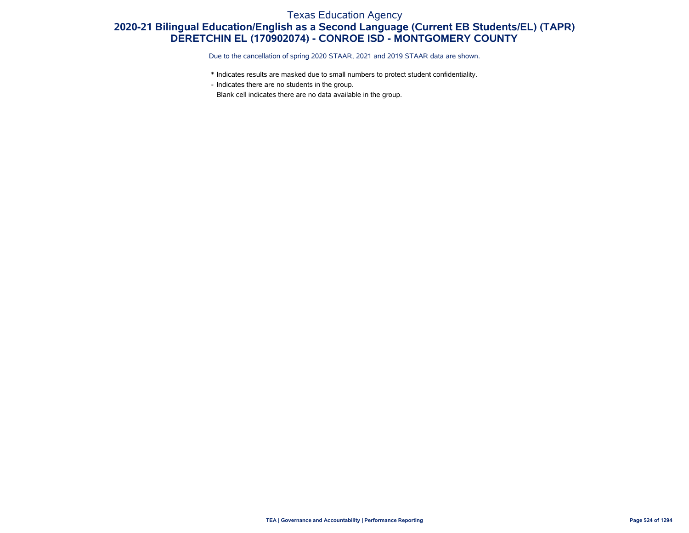#### Texas Education Agency

# **2020-21 Bilingual Education/English as a Second Language (Current EB Students/EL) (TAPR) DERETCHIN EL (170902074) - CONROE ISD - MONTGOMERY COUNTY**

Due to the cancellation of spring 2020 STAAR, 2021 and 2019 STAAR data are shown.

- \* Indicates results are masked due to small numbers to protect student confidentiality.
- Indicates there are no students in the group.

Blank cell indicates there are no data available in the group.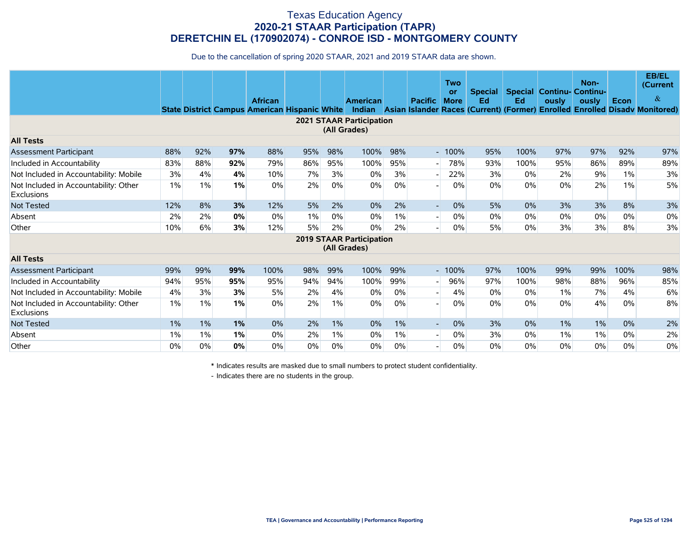Due to the cancellation of spring 2020 STAAR, 2021 and 2019 STAAR data are shown.

|                                                            |       |       |     | <b>African</b><br><b>State District Campus American Hispanic White</b> |     |       | <b>American</b>                                 |       | <b>Pacific</b>           | <b>Two</b><br>or<br><b>More</b> | <b>Special</b><br>Ed | Ed    | <b>Special Continu- Continu-</b><br>ously | Non-<br>ously | Econ  | <b>EB/EL</b><br>(Current<br>&<br>Indian Asian Islander Races (Current) (Former) Enrolled Enrolled Disady Monitored) |
|------------------------------------------------------------|-------|-------|-----|------------------------------------------------------------------------|-----|-------|-------------------------------------------------|-------|--------------------------|---------------------------------|----------------------|-------|-------------------------------------------|---------------|-------|---------------------------------------------------------------------------------------------------------------------|
|                                                            |       |       |     |                                                                        |     |       | <b>2021 STAAR Participation</b><br>(All Grades) |       |                          |                                 |                      |       |                                           |               |       |                                                                                                                     |
| <b>All Tests</b>                                           |       |       |     |                                                                        |     |       |                                                 |       |                          |                                 |                      |       |                                           |               |       |                                                                                                                     |
| <b>Assessment Participant</b>                              | 88%   | 92%   | 97% | 88%                                                                    | 95% | 98%   | 100%                                            | 98%   |                          | $-100%$                         | 95%                  | 100%  | 97%                                       | 97%           | 92%   | 97%                                                                                                                 |
| Included in Accountability                                 | 83%   | 88%   | 92% | 79%                                                                    | 86% | 95%   | 100%                                            | 95%   |                          | 78%                             | 93%                  | 100%  | 95%                                       | 86%           | 89%   | 89%                                                                                                                 |
| Not Included in Accountability: Mobile                     | 3%    | 4%    | 4%  | 10%                                                                    | 7%  | 3%    | 0%                                              | 3%    |                          | 22%                             | 3%                   | $0\%$ | 2%                                        | 9%            | 1%    | 3%                                                                                                                  |
| Not Included in Accountability: Other<br><b>Exclusions</b> | $1\%$ | 1%    | 1%  | 0%                                                                     | 2%  | 0%    | 0%                                              | 0%    |                          | 0%                              | $0\%$                | 0%    | 0%                                        | 2%            | $1\%$ | 5%                                                                                                                  |
| <b>Not Tested</b>                                          | 12%   | 8%    | 3%  | 12%                                                                    | 5%  | 2%    | 0%                                              | 2%    | $\overline{\phantom{0}}$ | $0\%$                           | 5%                   | 0%    | 3%                                        | 3%            | 8%    | 3%                                                                                                                  |
| Absent                                                     | 2%    | 2%    | 0%  | 0%                                                                     | 1%  | 0%    | $0\%$                                           | 1%    |                          | $0\%$                           | $0\%$                | $0\%$ | 0%                                        | $0\%$         | 0%    | 0%                                                                                                                  |
| Other                                                      | 10%   | 6%    | 3%  | 12%                                                                    | 5%  | 2%    | $0\%$                                           | 2%    |                          | 0%                              | 5%                   | 0%    | 3%                                        | 3%            | 8%    | 3%                                                                                                                  |
|                                                            |       |       |     |                                                                        |     |       | <b>2019 STAAR Participation</b><br>(All Grades) |       |                          |                                 |                      |       |                                           |               |       |                                                                                                                     |
| <b>All Tests</b>                                           |       |       |     |                                                                        |     |       |                                                 |       |                          |                                 |                      |       |                                           |               |       |                                                                                                                     |
| <b>Assessment Participant</b>                              | 99%   | 99%   | 99% | 100%                                                                   | 98% | 99%   | 100%                                            | 99%   |                          | $-100%$                         | 97%                  | 100%  | 99%                                       | 99%           | 100%  | 98%                                                                                                                 |
| Included in Accountability                                 | 94%   | 95%   | 95% | 95%                                                                    | 94% | 94%   | 100%                                            | 99%   | $\overline{\phantom{a}}$ | 96%                             | 97%                  | 100%  | 98%                                       | 88%           | 96%   | 85%                                                                                                                 |
| Not Included in Accountability: Mobile                     | 4%    | 3%    | 3%  | 5%                                                                     | 2%  | 4%    | 0%                                              | 0%    |                          | 4%                              | $0\%$                | 0%    | 1%                                        | 7%            | 4%    | 6%                                                                                                                  |
| Not Included in Accountability: Other<br>Exclusions        | $1\%$ | 1%    | 1%  | 0%                                                                     | 2%  | $1\%$ | $0\%$                                           | 0%    |                          | 0%                              | $0\%$                | 0%    | 0%                                        | 4%            | 0%    | 8%                                                                                                                  |
| <b>Not Tested</b>                                          | $1\%$ | $1\%$ | 1%  | 0%                                                                     | 2%  | $1\%$ | 0%                                              | $1\%$ | $\overline{\phantom{a}}$ | 0%                              | 3%                   | 0%    | 1%                                        | 1%            | 0%    | 2%                                                                                                                  |
| Absent                                                     | $1\%$ | 1%    | 1%  | 0%                                                                     | 2%  | 1%    | 0%                                              | 1%    | $\overline{\phantom{a}}$ | 0%                              | 3%                   | 0%    | $1\%$                                     | $1\%$         | 0%    | 2%                                                                                                                  |
| Other                                                      | 0%    | 0%    | 0%  | 0%                                                                     | 0%  | 0%    | 0%                                              | 0%    |                          | 0%                              | $0\%$                | 0%    | 0%                                        | 0%            | 0%    | 0%                                                                                                                  |

\* Indicates results are masked due to small numbers to protect student confidentiality.

- Indicates there are no students in the group.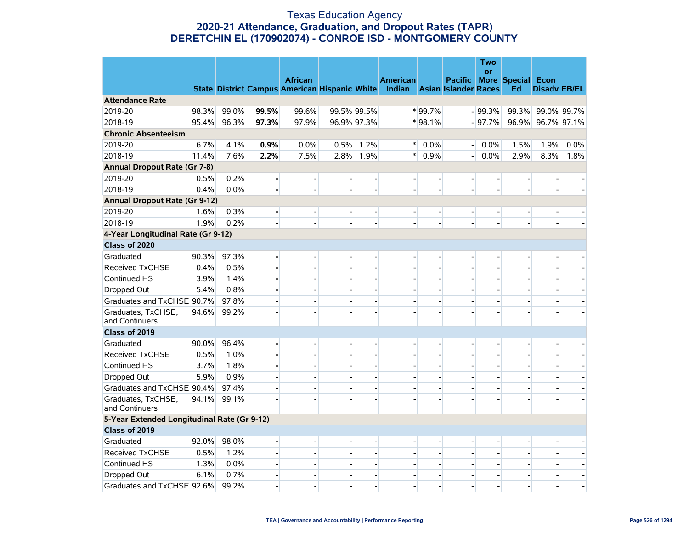#### Texas Education Agency **2020-21 Attendance, Graduation, and Dropout Rates (TAPR) DERETCHIN EL (170902074) - CONROE ISD - MONTGOMERY COUNTY**

|                                             |         |       |                | <b>African</b>                                |                              |                | <b>American</b>              |                          | <b>Pacific</b>    | <b>Two</b><br><b>or</b>  | <b>More Special Econ</b> |                          |                          |
|---------------------------------------------|---------|-------|----------------|-----------------------------------------------|------------------------------|----------------|------------------------------|--------------------------|-------------------|--------------------------|--------------------------|--------------------------|--------------------------|
|                                             |         |       |                | State District Campus American Hispanic White |                              |                | Indian Asian Islander Races  |                          |                   |                          | Ed                       | <b>Disadv EB/EL</b>      |                          |
| <b>Attendance Rate</b>                      |         |       |                |                                               |                              |                |                              |                          |                   |                          |                          |                          |                          |
| 2019-20                                     | 98.3%   | 99.0% | 99.5%          | 99.6%                                         |                              | 99.5% 99.5%    |                              | * 99.7%                  |                   | $-99.3\%$                |                          | 99.3% 99.0% 99.7%        |                          |
| 2018-19                                     | 95.4%   | 96.3% | 97.3%          | 97.9%                                         |                              | 96.9% 97.3%    |                              | $*98.1%$                 |                   | $-97.7%$                 |                          | 96.9% 96.7% 97.1%        |                          |
| <b>Chronic Absenteeism</b>                  |         |       |                |                                               |                              |                |                              |                          |                   |                          |                          |                          |                          |
| 2019-20                                     | 6.7%    | 4.1%  | 0.9%           | 0.0%                                          | 0.5%                         | 1.2%           | $\ast$                       | 0.0%                     | $\overline{a}$    | $0.0\%$                  | 1.5%                     | 1.9%                     | 0.0%                     |
| 2018-19                                     | 11.4%   | 7.6%  | 2.2%           | 7.5%                                          | 2.8%                         | 1.9%           | $\ast$                       | 0.9%                     |                   | 0.0%                     | 2.9%                     | 8.3%                     | 1.8%                     |
| <b>Annual Dropout Rate (Gr 7-8)</b>         |         |       |                |                                               |                              |                |                              |                          |                   |                          |                          |                          |                          |
| 2019-20                                     | 0.5%    | 0.2%  | $\blacksquare$ | $\overline{\phantom{a}}$                      | $\blacksquare$               |                | $\blacksquare$               |                          | $\qquad \qquad -$ |                          | $\overline{\phantom{a}}$ |                          |                          |
| 2018-19                                     | 0.4%    | 0.0%  |                | $\blacksquare$                                | $\blacksquare$               |                |                              |                          |                   |                          | $\blacksquare$           | $\overline{\phantom{a}}$ |                          |
| <b>Annual Dropout Rate (Gr 9-12)</b>        |         |       |                |                                               |                              |                |                              |                          |                   |                          |                          |                          |                          |
| 2019-20                                     | $1.6\%$ | 0.3%  |                |                                               | $\qquad \qquad \blacksquare$ | $\overline{a}$ | $\qquad \qquad \blacksquare$ |                          |                   |                          | $\overline{\phantom{a}}$ | $\overline{\phantom{0}}$ |                          |
| 2018-19                                     | 1.9%    | 0.2%  |                |                                               |                              |                |                              |                          |                   |                          |                          |                          |                          |
| 4-Year Longitudinal Rate (Gr 9-12)          |         |       |                |                                               |                              |                |                              |                          |                   |                          |                          |                          |                          |
| Class of 2020                               |         |       |                |                                               |                              |                |                              |                          |                   |                          |                          |                          |                          |
| Graduated                                   | 90.3%   | 97.3% | $\blacksquare$ | $\overline{\phantom{0}}$                      | $\overline{\phantom{a}}$     | ۰              | $\overline{\phantom{a}}$     |                          |                   | $\overline{\phantom{a}}$ | $\overline{\phantom{a}}$ | $\overline{a}$           | $\overline{\phantom{a}}$ |
| <b>Received TxCHSE</b>                      | 0.4%    | 0.5%  |                |                                               |                              |                |                              |                          |                   |                          |                          |                          |                          |
| Continued HS                                | 3.9%    | 1.4%  |                | $\overline{a}$                                | $\overline{\phantom{a}}$     |                | $\overline{a}$               |                          |                   |                          |                          |                          |                          |
| Dropped Out                                 | 5.4%    | 0.8%  |                |                                               | $\blacksquare$               |                |                              |                          |                   |                          |                          |                          |                          |
| Graduates and TxCHSE 90.7%                  |         | 97.8% |                | $\blacksquare$                                | $\overline{\phantom{a}}$     |                |                              |                          |                   |                          |                          |                          |                          |
| Graduates, TxCHSE,<br>and Continuers        | 94.6%   | 99.2% |                |                                               | $\overline{a}$               |                |                              |                          |                   |                          |                          |                          |                          |
| Class of 2019                               |         |       |                |                                               |                              |                |                              |                          |                   |                          |                          |                          |                          |
| Graduated                                   | 90.0%   | 96.4% | $\blacksquare$ |                                               | $\overline{\phantom{a}}$     | $\overline{a}$ | $\overline{\phantom{a}}$     |                          |                   |                          | $\overline{a}$           | $\qquad \qquad$          |                          |
| <b>Received TxCHSE</b>                      | 0.5%    | 1.0%  |                |                                               | $\overline{\phantom{a}}$     |                | $\overline{a}$               |                          |                   |                          |                          |                          |                          |
| Continued HS                                | 3.7%    | 1.8%  |                |                                               | $\overline{\phantom{a}}$     |                |                              |                          |                   |                          |                          |                          |                          |
| Dropped Out                                 | 5.9%    | 0.9%  |                |                                               | $\overline{\phantom{a}}$     |                |                              |                          |                   |                          | $\overline{a}$           |                          |                          |
| Graduates and TxCHSE 90.4%                  |         | 97.4% |                |                                               | $\overline{\phantom{a}}$     |                |                              |                          |                   |                          |                          |                          |                          |
| Graduates, TxCHSE,<br>and Continuers        | 94.1%   | 99.1% |                |                                               |                              |                |                              |                          |                   |                          |                          |                          |                          |
| 5-Year Extended Longitudinal Rate (Gr 9-12) |         |       |                |                                               |                              |                |                              |                          |                   |                          |                          |                          |                          |
| Class of 2019                               |         |       |                |                                               |                              |                |                              |                          |                   |                          |                          |                          |                          |
| Graduated                                   | 92.0%   | 98.0% | ۰              |                                               | $\overline{\phantom{a}}$     |                | $\overline{a}$               |                          |                   |                          |                          |                          |                          |
| <b>Received TxCHSE</b>                      | 0.5%    | 1.2%  |                |                                               | $\blacksquare$               |                |                              |                          |                   |                          |                          |                          |                          |
| Continued HS                                | 1.3%    | 0.0%  |                | $\overline{a}$                                | $\overline{\phantom{a}}$     | $\overline{a}$ | $\overline{a}$               | $\overline{a}$           |                   |                          | $\overline{a}$           | L,                       | $\blacksquare$           |
| Dropped Out                                 | 6.1%    | 0.7%  |                |                                               | $\overline{\phantom{a}}$     |                | $\blacksquare$               | $\overline{\phantom{a}}$ |                   |                          | $\overline{\phantom{a}}$ |                          | $\overline{\phantom{a}}$ |
| Graduates and TxCHSE 92.6%                  |         | 99.2% |                |                                               |                              |                |                              |                          |                   |                          |                          |                          |                          |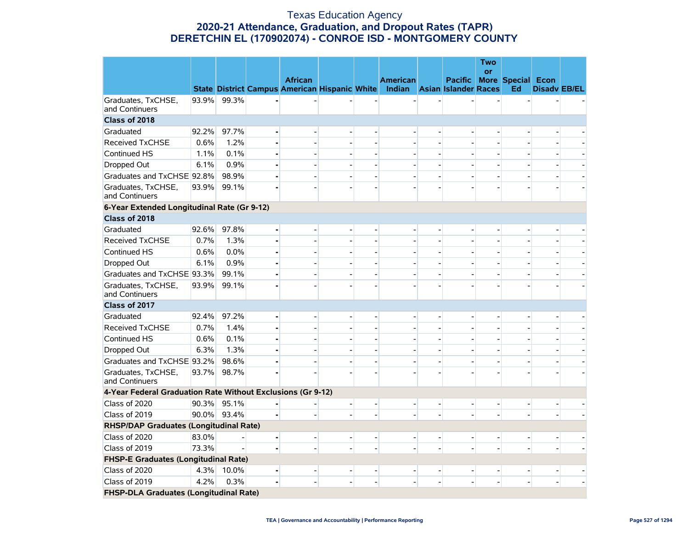#### Texas Education Agency **2020-21 Attendance, Graduation, and Dropout Rates (TAPR) DERETCHIN EL (170902074) - CONROE ISD - MONTGOMERY COUNTY**

|                                                             |       |             |   |                                                      |                          |                          |                             |                | <b>Two</b><br>or         |                          |                     |  |
|-------------------------------------------------------------|-------|-------------|---|------------------------------------------------------|--------------------------|--------------------------|-----------------------------|----------------|--------------------------|--------------------------|---------------------|--|
|                                                             |       |             |   | <b>African</b>                                       |                          |                          | <b>American</b>             | <b>Pacific</b> |                          | <b>More Special Econ</b> |                     |  |
|                                                             |       |             |   | <b>State District Campus American Hispanic White</b> |                          |                          | Indian Asian Islander Races |                |                          | Ed                       | <b>Disady EB/EL</b> |  |
| Graduates, TxCHSE,<br>and Continuers                        | 93.9% | 99.3%       |   |                                                      |                          |                          |                             |                |                          |                          |                     |  |
| Class of 2018                                               |       |             |   |                                                      |                          |                          |                             |                |                          |                          |                     |  |
| Graduated                                                   | 92.2% | 97.7%       |   |                                                      |                          |                          |                             |                |                          |                          |                     |  |
| <b>Received TxCHSE</b>                                      | 0.6%  | 1.2%        |   |                                                      |                          |                          |                             |                |                          |                          |                     |  |
| Continued HS                                                | 1.1%  | 0.1%        |   |                                                      | $\overline{\phantom{0}}$ |                          |                             |                |                          |                          |                     |  |
| Dropped Out                                                 | 6.1%  | 0.9%        |   |                                                      | $\overline{\phantom{a}}$ |                          |                             |                |                          |                          |                     |  |
| Graduates and TxCHSE 92.8%                                  |       | 98.9%       |   |                                                      |                          |                          |                             |                |                          |                          |                     |  |
| Graduates, TxCHSE,<br>and Continuers                        | 93.9% | 99.1%       |   |                                                      |                          |                          |                             |                |                          |                          |                     |  |
| 6-Year Extended Longitudinal Rate (Gr 9-12)                 |       |             |   |                                                      |                          |                          |                             |                |                          |                          |                     |  |
| Class of 2018                                               |       |             |   |                                                      |                          |                          |                             |                |                          |                          |                     |  |
| Graduated                                                   | 92.6% | 97.8%       |   |                                                      |                          |                          |                             |                |                          |                          |                     |  |
| <b>Received TxCHSE</b>                                      | 0.7%  | 1.3%        |   |                                                      |                          |                          |                             |                |                          |                          |                     |  |
| Continued HS                                                | 0.6%  | 0.0%        |   |                                                      |                          |                          |                             |                |                          |                          |                     |  |
| Dropped Out                                                 | 6.1%  | 0.9%        |   |                                                      |                          |                          |                             |                |                          |                          |                     |  |
| Graduates and TxCHSE 93.3%                                  |       | 99.1%       |   |                                                      |                          |                          |                             |                |                          |                          |                     |  |
| Graduates, TxCHSE,<br>and Continuers                        | 93.9% | 99.1%       |   |                                                      |                          |                          |                             |                |                          |                          |                     |  |
| Class of 2017                                               |       |             |   |                                                      |                          |                          |                             |                |                          |                          |                     |  |
| Graduated                                                   | 92.4% | 97.2%       |   |                                                      |                          |                          |                             |                |                          |                          |                     |  |
| <b>Received TxCHSE</b>                                      | 0.7%  | 1.4%        |   |                                                      | $\overline{\phantom{a}}$ |                          |                             |                |                          |                          |                     |  |
| Continued HS                                                | 0.6%  | 0.1%        |   |                                                      | $\overline{\phantom{a}}$ |                          |                             |                |                          | $\overline{\phantom{a}}$ |                     |  |
| Dropped Out                                                 | 6.3%  | 1.3%        |   |                                                      |                          |                          |                             |                |                          |                          |                     |  |
| Graduates and TxCHSE 93.2%                                  |       | 98.6%       |   |                                                      |                          |                          |                             |                |                          |                          |                     |  |
| Graduates, TxCHSE,<br>and Continuers                        | 93.7% | 98.7%       |   |                                                      |                          |                          |                             |                |                          |                          |                     |  |
| 4-Year Federal Graduation Rate Without Exclusions (Gr 9-12) |       |             |   |                                                      |                          |                          |                             |                |                          |                          |                     |  |
| Class of 2020                                               | 90.3% | 95.1%       |   |                                                      |                          |                          |                             |                |                          |                          |                     |  |
| Class of 2019                                               |       | 90.0% 93.4% |   |                                                      |                          |                          |                             |                |                          |                          |                     |  |
| RHSP/DAP Graduates (Longitudinal Rate)                      |       |             |   |                                                      |                          |                          |                             |                |                          |                          |                     |  |
| Class of 2020                                               | 83.0% |             | ٠ | $\overline{a}$                                       | $\overline{\phantom{a}}$ | $\overline{a}$           | $\blacksquare$              |                | $\overline{\phantom{a}}$ | $\blacksquare$           | $\overline{a}$      |  |
| Class of 2019                                               | 73.3% |             |   | $\blacksquare$                                       | $\blacksquare$           | $\overline{\phantom{a}}$ | $\blacksquare$              |                | $\overline{a}$           | $\overline{\phantom{0}}$ | $\overline{a}$      |  |
| <b>FHSP-E Graduates (Longitudinal Rate)</b>                 |       |             |   |                                                      |                          |                          |                             |                |                          |                          |                     |  |
| Class of 2020                                               | 4.3%  | 10.0%       |   |                                                      | $\overline{\phantom{a}}$ |                          |                             |                |                          |                          |                     |  |
| Class of 2019                                               | 4.2%  | 0.3%        |   |                                                      | $\overline{a}$           |                          |                             |                |                          | $\overline{a}$           |                     |  |
| FHSP-DLA Graduates (Longitudinal Rate)                      |       |             |   |                                                      |                          |                          |                             |                |                          |                          |                     |  |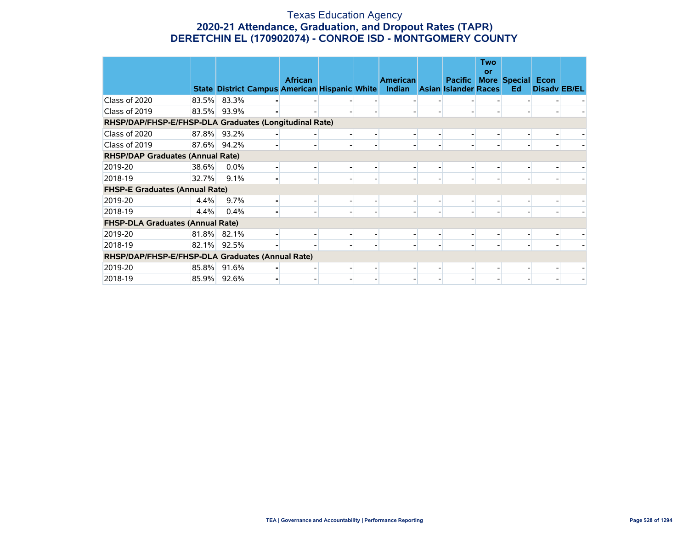#### Texas Education Agency **2020-21 Attendance, Graduation, and Dropout Rates (TAPR) DERETCHIN EL (170902074) - CONROE ISD - MONTGOMERY COUNTY**

|                                                        |       |             |                                                                        |                          |                           |                                               | <b>Two</b><br>or |                         |                     |  |
|--------------------------------------------------------|-------|-------------|------------------------------------------------------------------------|--------------------------|---------------------------|-----------------------------------------------|------------------|-------------------------|---------------------|--|
|                                                        |       |             | <b>African</b><br><b>State District Campus American Hispanic White</b> |                          | <b>American</b><br>Indian | <b>Pacific</b><br><b>Asian Islander Races</b> |                  | More Special Econ<br>Ed | <b>Disady EB/EL</b> |  |
| Class of 2020                                          | 83.5% | 83.3%       |                                                                        |                          |                           |                                               |                  |                         |                     |  |
| Class of 2019                                          | 83.5% | 93.9%       |                                                                        |                          |                           |                                               |                  |                         |                     |  |
| RHSP/DAP/FHSP-E/FHSP-DLA Graduates (Longitudinal Rate) |       |             |                                                                        |                          |                           |                                               |                  |                         |                     |  |
| Class of 2020                                          | 87.8% | 93.2%       |                                                                        |                          |                           |                                               |                  |                         |                     |  |
| Class of 2019                                          | 87.6% | 94.2%       |                                                                        | $\overline{\phantom{0}}$ |                           |                                               |                  |                         |                     |  |
| <b>RHSP/DAP Graduates (Annual Rate)</b>                |       |             |                                                                        |                          |                           |                                               |                  |                         |                     |  |
| 2019-20                                                | 38.6% | $0.0\%$     |                                                                        |                          |                           |                                               |                  |                         |                     |  |
| 2018-19                                                | 32.7% | 9.1%        |                                                                        | $\overline{\phantom{a}}$ |                           |                                               |                  |                         |                     |  |
| <b>FHSP-E Graduates (Annual Rate)</b>                  |       |             |                                                                        |                          |                           |                                               |                  |                         |                     |  |
| 2019-20                                                | 4.4%  | 9.7%        |                                                                        |                          |                           |                                               |                  |                         |                     |  |
| 2018-19                                                | 4.4%  | 0.4%        |                                                                        |                          |                           |                                               |                  |                         |                     |  |
| <b>FHSP-DLA Graduates (Annual Rate)</b>                |       |             |                                                                        |                          |                           |                                               |                  |                         |                     |  |
| 2019-20                                                | 81.8% | 82.1%       |                                                                        |                          |                           |                                               |                  |                         |                     |  |
| 2018-19                                                | 82.1% | 92.5%       |                                                                        |                          |                           |                                               |                  |                         |                     |  |
| RHSP/DAP/FHSP-E/FHSP-DLA Graduates (Annual Rate)       |       |             |                                                                        |                          |                           |                                               |                  |                         |                     |  |
| 2019-20                                                | 85.8% | 91.6%       |                                                                        |                          |                           |                                               |                  |                         |                     |  |
| 2018-19                                                |       | 85.9% 92.6% |                                                                        |                          |                           |                                               |                  |                         |                     |  |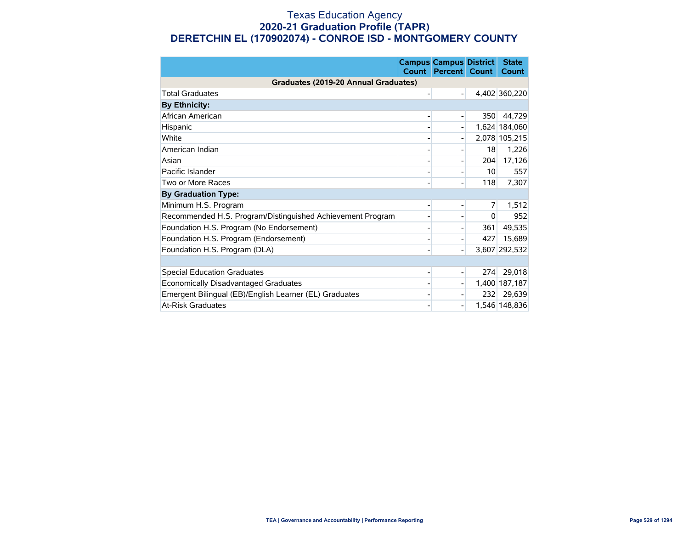#### Texas Education Agency **2020-21 Graduation Profile (TAPR) DERETCHIN EL (170902074) - CONROE ISD - MONTGOMERY COUNTY**

|                                                            | <b>Count</b> | <b>Campus Campus District</b><br><b>Percent</b> | Count    | <b>State</b><br>Count |
|------------------------------------------------------------|--------------|-------------------------------------------------|----------|-----------------------|
| Graduates (2019-20 Annual Graduates)                       |              |                                                 |          |                       |
| Total Graduates                                            |              |                                                 |          | 4,402 360,220         |
| <b>By Ethnicity:</b>                                       |              |                                                 |          |                       |
| African American                                           |              |                                                 | 350      | 44,729                |
| Hispanic                                                   |              |                                                 |          | 1,624 184,060         |
| White                                                      |              |                                                 |          | 2,078 105,215         |
| American Indian                                            |              |                                                 | 18       | 1,226                 |
| Asian                                                      |              |                                                 | 204      | 17,126                |
| Pacific Islander                                           |              |                                                 | 10       | 557                   |
| Two or More Races                                          |              |                                                 | 118      | 7,307                 |
| <b>By Graduation Type:</b>                                 |              |                                                 |          |                       |
| Minimum H.S. Program                                       |              |                                                 | 7        | 1,512                 |
| Recommended H.S. Program/Distinguished Achievement Program |              |                                                 | $\Omega$ | 952                   |
| Foundation H.S. Program (No Endorsement)                   |              |                                                 | 361      | 49,535                |
| Foundation H.S. Program (Endorsement)                      |              |                                                 | 427      | 15,689                |
| Foundation H.S. Program (DLA)                              |              |                                                 |          | 3,607 292,532         |
|                                                            |              |                                                 |          |                       |
| <b>Special Education Graduates</b>                         |              |                                                 | 274      | 29,018                |
| Economically Disadvantaged Graduates                       |              |                                                 |          | 1,400 187,187         |
| Emergent Bilingual (EB)/English Learner (EL) Graduates     |              |                                                 | 232      | 29,639                |
| <b>At-Risk Graduates</b>                                   |              |                                                 |          | 1,546 148,836         |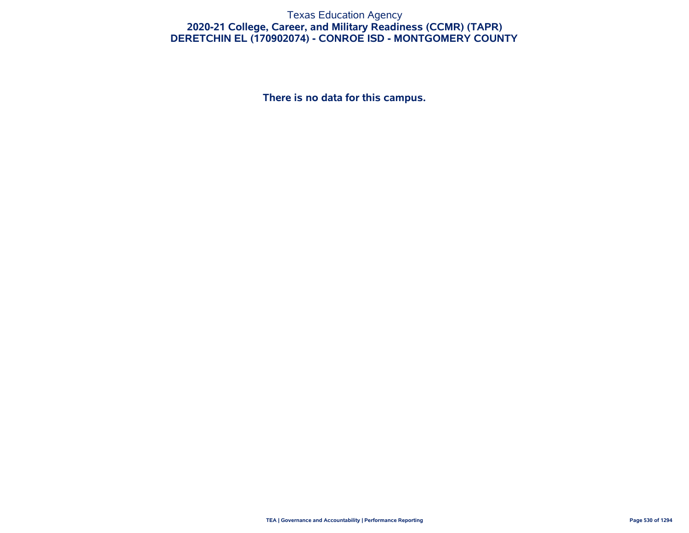# Texas Education Agency **2020-21 College, Career, and Military Readiness (CCMR) (TAPR) DERETCHIN EL (170902074) - CONROE ISD - MONTGOMERY COUNTY**

**There is no data for this campus.**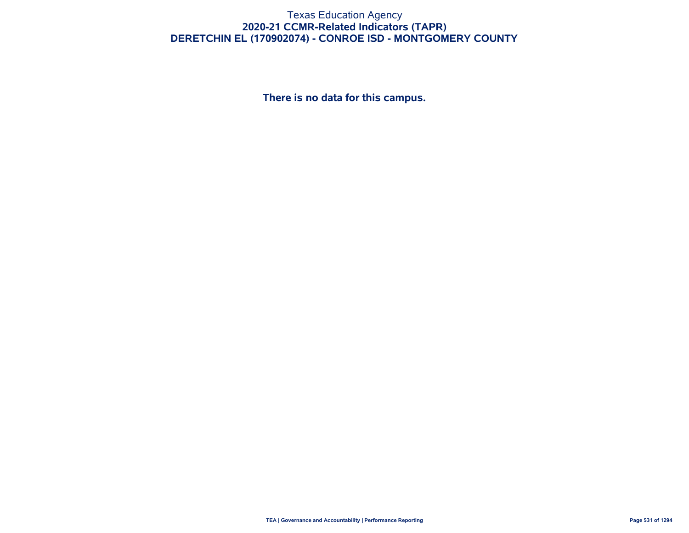#### Texas Education Agency **2020-21 CCMR-Related Indicators (TAPR) DERETCHIN EL (170902074) - CONROE ISD - MONTGOMERY COUNTY**

**There is no data for this campus.**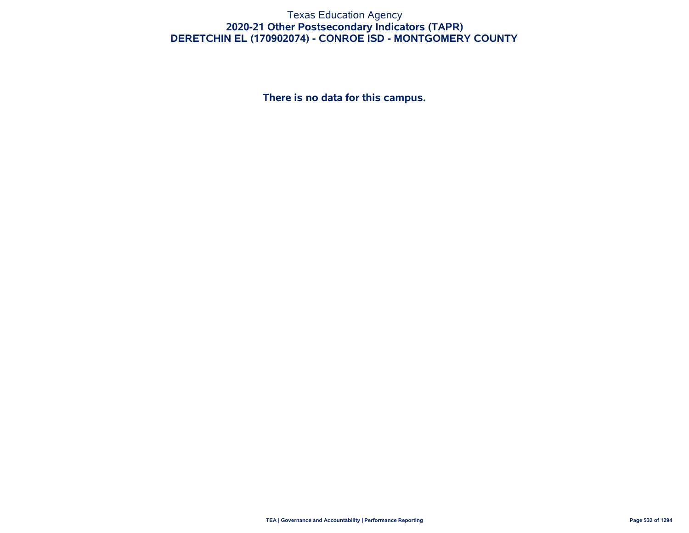#### Texas Education Agency **2020-21 Other Postsecondary Indicators (TAPR) DERETCHIN EL (170902074) - CONROE ISD - MONTGOMERY COUNTY**

**There is no data for this campus.**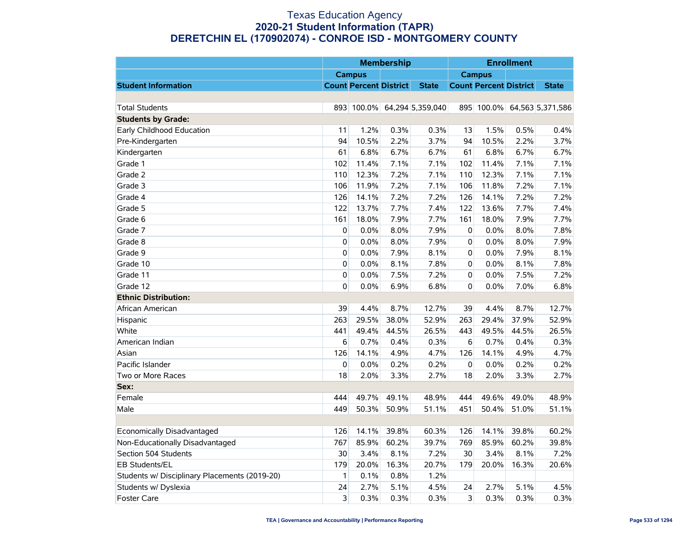|                                               |              |                               | <b>Membership</b> |                             |     |                               | <b>Enrollment</b> |                             |
|-----------------------------------------------|--------------|-------------------------------|-------------------|-----------------------------|-----|-------------------------------|-------------------|-----------------------------|
|                                               |              | <b>Campus</b>                 |                   |                             |     | <b>Campus</b>                 |                   |                             |
| <b>Student Information</b>                    |              | <b>Count Percent District</b> |                   | <b>State</b>                |     | <b>Count Percent District</b> |                   | <b>State</b>                |
|                                               |              |                               |                   |                             |     |                               |                   |                             |
| <b>Total Students</b>                         |              |                               |                   | 893 100.0% 64,294 5,359,040 |     |                               |                   | 895 100.0% 64,563 5,371,586 |
| <b>Students by Grade:</b>                     |              |                               |                   |                             |     |                               |                   |                             |
| Early Childhood Education                     | 11           | 1.2%                          | 0.3%              | 0.3%                        | 13  | 1.5%                          | 0.5%              | 0.4%                        |
| Pre-Kindergarten                              | 94           | 10.5%                         | 2.2%              | 3.7%                        | 94  | 10.5%                         | 2.2%              | 3.7%                        |
| Kindergarten                                  | 61           | 6.8%                          | 6.7%              | 6.7%                        | 61  | 6.8%                          | 6.7%              | 6.7%                        |
| Grade 1                                       | 102          | 11.4%                         | 7.1%              | 7.1%                        | 102 | 11.4%                         | 7.1%              | 7.1%                        |
| Grade 2                                       | 110          | 12.3%                         | 7.2%              | 7.1%                        | 110 | 12.3%                         | 7.1%              | 7.1%                        |
| Grade 3                                       | 106          | 11.9%                         | 7.2%              | 7.1%                        | 106 | 11.8%                         | 7.2%              | 7.1%                        |
| Grade 4                                       | 126          | 14.1%                         | 7.2%              | 7.2%                        | 126 | 14.1%                         | 7.2%              | 7.2%                        |
| Grade 5                                       | 122          | 13.7%                         | 7.7%              | 7.4%                        | 122 | 13.6%                         | 7.7%              | 7.4%                        |
| Grade 6                                       | 161          | 18.0%                         | 7.9%              | 7.7%                        | 161 | 18.0%                         | 7.9%              | 7.7%                        |
| Grade 7                                       | $\mathbf 0$  | 0.0%                          | 8.0%              | 7.9%                        | 0   | 0.0%                          | 8.0%              | 7.8%                        |
| Grade 8                                       | 0            | 0.0%                          | 8.0%              | 7.9%                        | 0   | 0.0%                          | 8.0%              | 7.9%                        |
| Grade 9                                       | 0            | 0.0%                          | 7.9%              | 8.1%                        | 0   | 0.0%                          | 7.9%              | 8.1%                        |
| Grade 10                                      | $\mathbf{0}$ | 0.0%                          | 8.1%              | 7.8%                        | 0   | 0.0%                          | 8.1%              | 7.8%                        |
| Grade 11                                      | $\mathbf 0$  | 0.0%                          | 7.5%              | 7.2%                        | 0   | 0.0%                          | 7.5%              | 7.2%                        |
| Grade 12                                      | 0            | 0.0%                          | 6.9%              | 6.8%                        | 0   | 0.0%                          | 7.0%              | 6.8%                        |
| <b>Ethnic Distribution:</b>                   |              |                               |                   |                             |     |                               |                   |                             |
| African American                              | 39           | 4.4%                          | 8.7%              | 12.7%                       | 39  | 4.4%                          | 8.7%              | 12.7%                       |
| Hispanic                                      | 263          | 29.5%                         | 38.0%             | 52.9%                       | 263 | 29.4%                         | 37.9%             | 52.9%                       |
| White                                         | 441          | 49.4%                         | 44.5%             | 26.5%                       | 443 | 49.5%                         | 44.5%             | 26.5%                       |
| American Indian                               | 6            | 0.7%                          | 0.4%              | 0.3%                        | 6   | 0.7%                          | 0.4%              | 0.3%                        |
| Asian                                         | 126          | 14.1%                         | 4.9%              | 4.7%                        | 126 | 14.1%                         | 4.9%              | 4.7%                        |
| Pacific Islander                              | 0            | 0.0%                          | 0.2%              | 0.2%                        | 0   | 0.0%                          | 0.2%              | 0.2%                        |
| Two or More Races                             | 18           | 2.0%                          | 3.3%              | 2.7%                        | 18  | 2.0%                          | 3.3%              | 2.7%                        |
| Sex:                                          |              |                               |                   |                             |     |                               |                   |                             |
| Female                                        | 444          | 49.7%                         | 49.1%             | 48.9%                       | 444 | 49.6%                         | 49.0%             | 48.9%                       |
| Male                                          | 449          | 50.3%                         | 50.9%             | 51.1%                       | 451 | 50.4%                         | 51.0%             | 51.1%                       |
|                                               |              |                               |                   |                             |     |                               |                   |                             |
| Economically Disadvantaged                    | 126          | 14.1%                         | 39.8%             | 60.3%                       | 126 | 14.1%                         | 39.8%             | 60.2%                       |
| Non-Educationally Disadvantaged               | 767          | 85.9%                         | 60.2%             | 39.7%                       | 769 | 85.9%                         | 60.2%             | 39.8%                       |
| Section 504 Students                          | 30           | 3.4%                          | 8.1%              | 7.2%                        | 30  | 3.4%                          | 8.1%              | 7.2%                        |
| EB Students/EL                                | 179          | 20.0%                         | 16.3%             | 20.7%                       | 179 | 20.0%                         | 16.3%             | 20.6%                       |
| Students w/ Disciplinary Placements (2019-20) | $\mathbf{1}$ | 0.1%                          | 0.8%              | 1.2%                        |     |                               |                   |                             |
| Students w/ Dyslexia                          | 24           | 2.7%                          | 5.1%              | 4.5%                        | 24  | 2.7%                          | 5.1%              | 4.5%                        |
| <b>Foster Care</b>                            | 3            | 0.3%                          | 0.3%              | 0.3%                        | 3   | 0.3%                          | 0.3%              | 0.3%                        |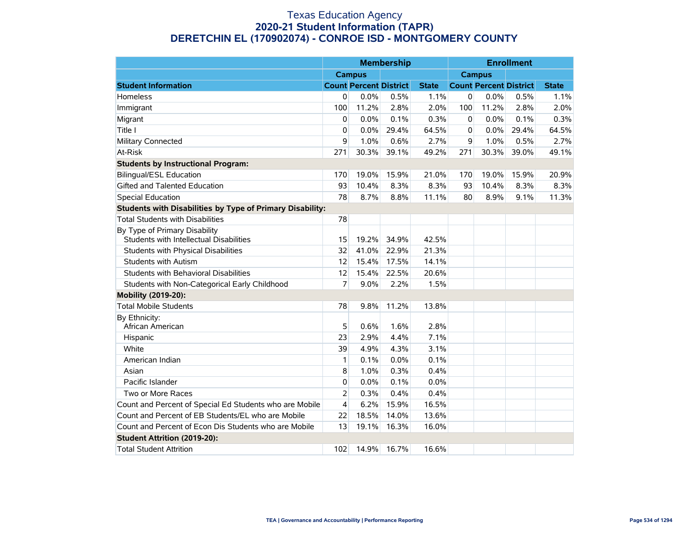|                                                                          | <b>Membership</b> |                               |       | <b>Enrollment</b> |               |       |                               |              |
|--------------------------------------------------------------------------|-------------------|-------------------------------|-------|-------------------|---------------|-------|-------------------------------|--------------|
|                                                                          | <b>Campus</b>     |                               |       |                   | <b>Campus</b> |       |                               |              |
| <b>Student Information</b>                                               |                   | <b>Count Percent District</b> |       | <b>State</b>      |               |       | <b>Count Percent District</b> | <b>State</b> |
| <b>Homeless</b>                                                          | 0                 | 0.0%                          | 0.5%  | 1.1%              | $\mathbf 0$   | 0.0%  | 0.5%                          | 1.1%         |
| Immigrant                                                                | 100               | 11.2%                         | 2.8%  | 2.0%              | 100           | 11.2% | 2.8%                          | 2.0%         |
| Migrant                                                                  | 0                 | 0.0%                          | 0.1%  | 0.3%              | $\Omega$      | 0.0%  | 0.1%                          | 0.3%         |
| Title I                                                                  | 0                 | 0.0%                          | 29.4% | 64.5%             | 0             | 0.0%  | 29.4%                         | 64.5%        |
| <b>Military Connected</b>                                                | 9                 | 1.0%                          | 0.6%  | 2.7%              | 9             | 1.0%  | 0.5%                          | 2.7%         |
| At-Risk                                                                  | 271               | 30.3%                         | 39.1% | 49.2%             | 271           | 30.3% | 39.0%                         | 49.1%        |
| <b>Students by Instructional Program:</b>                                |                   |                               |       |                   |               |       |                               |              |
| <b>Bilingual/ESL Education</b>                                           | 170               | 19.0%                         | 15.9% | 21.0%             | 170           | 19.0% | 15.9%                         | 20.9%        |
| Gifted and Talented Education                                            | 93                | 10.4%                         | 8.3%  | 8.3%              | 93            | 10.4% | 8.3%                          | 8.3%         |
| <b>Special Education</b>                                                 | 78                | 8.7%                          | 8.8%  | 11.1%             | 80            | 8.9%  | 9.1%                          | 11.3%        |
| <b>Students with Disabilities by Type of Primary Disability:</b>         |                   |                               |       |                   |               |       |                               |              |
| <b>Total Students with Disabilities</b>                                  | 78                |                               |       |                   |               |       |                               |              |
| By Type of Primary Disability<br>Students with Intellectual Disabilities | 15                | 19.2%                         | 34.9% | 42.5%             |               |       |                               |              |
| Students with Physical Disabilities                                      | 32                | 41.0%                         | 22.9% | 21.3%             |               |       |                               |              |
| <b>Students with Autism</b>                                              | 12                | 15.4%                         | 17.5% | 14.1%             |               |       |                               |              |
| Students with Behavioral Disabilities                                    | 12                | 15.4%                         | 22.5% | 20.6%             |               |       |                               |              |
| Students with Non-Categorical Early Childhood                            | 7                 | 9.0%                          | 2.2%  | 1.5%              |               |       |                               |              |
| Mobility (2019-20):                                                      |                   |                               |       |                   |               |       |                               |              |
| <b>Total Mobile Students</b>                                             | 78                | 9.8%                          | 11.2% | 13.8%             |               |       |                               |              |
| By Ethnicity:<br>African American                                        | 5                 | 0.6%                          | 1.6%  | 2.8%              |               |       |                               |              |
| Hispanic                                                                 | 23                | 2.9%                          | 4.4%  | 7.1%              |               |       |                               |              |
| White                                                                    | 39                | 4.9%                          | 4.3%  | 3.1%              |               |       |                               |              |
| American Indian                                                          | 1                 | 0.1%                          | 0.0%  | 0.1%              |               |       |                               |              |
| Asian                                                                    | 8                 | 1.0%                          | 0.3%  | 0.4%              |               |       |                               |              |
| Pacific Islander                                                         | 0                 | 0.0%                          | 0.1%  | 0.0%              |               |       |                               |              |
| Two or More Races                                                        | 2                 | 0.3%                          | 0.4%  | 0.4%              |               |       |                               |              |
| Count and Percent of Special Ed Students who are Mobile                  | 4                 | 6.2%                          | 15.9% | 16.5%             |               |       |                               |              |
| Count and Percent of EB Students/EL who are Mobile                       | 22                | 18.5%                         | 14.0% | 13.6%             |               |       |                               |              |
| Count and Percent of Econ Dis Students who are Mobile                    | 13                | 19.1%                         | 16.3% | 16.0%             |               |       |                               |              |
| <b>Student Attrition (2019-20):</b>                                      |                   |                               |       |                   |               |       |                               |              |
| <b>Total Student Attrition</b>                                           | 102               | 14.9%                         | 16.7% | 16.6%             |               |       |                               |              |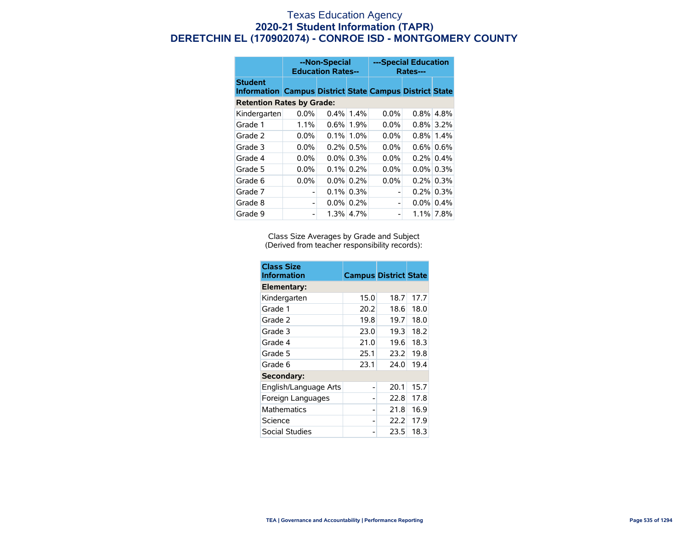|                                                                                  | --Non-Special<br><b>Education Rates--</b> |         |              | ---Special Education<br>Rates--- |         |              |  |
|----------------------------------------------------------------------------------|-------------------------------------------|---------|--------------|----------------------------------|---------|--------------|--|
| <b>Student</b><br><b>Information Campus District State Campus District State</b> |                                           |         |              |                                  |         |              |  |
| <b>Retention Rates by Grade:</b>                                                 |                                           |         |              |                                  |         |              |  |
| Kindergarten                                                                     | 0.0%                                      | 0.4%    | 1.4%         | 0.0%                             | $0.8\%$ | 4.8%         |  |
| Grade 1                                                                          | 1.1%                                      | $0.6\%$ | 1.9%         | $0.0\%$                          |         | $0.8\%$ 3.2% |  |
| Grade 2                                                                          | $0.0\%$                                   | $0.1\%$ | 1.0%         | 0.0%                             |         | $0.8\%$ 1.4% |  |
| Grade 3                                                                          | $0.0\%$                                   |         | $0.2\%$ 0.5% | $0.0\%$                          |         | $0.6\%$ 0.6% |  |
| Grade 4                                                                          | $0.0\%$                                   |         | $0.0\%$ 0.3% | 0.0%                             |         | $0.2\%$ 0.4% |  |
| Grade 5                                                                          | $0.0\%$                                   |         | $0.1\%$ 0.2% | $0.0\%$                          |         | $0.0\%$ 0.3% |  |
| Grade 6                                                                          | $0.0\%$                                   |         | $0.0\%$ 0.2% | $0.0\%$                          |         | $0.2\%$ 0.3% |  |
| Grade 7                                                                          |                                           |         | $0.1\%$ 0.3% | -                                |         | $0.2\%$ 0.3% |  |
| Grade 8                                                                          |                                           |         | $0.0\%$ 0.2% | -                                |         | $0.0\%$ 0.4% |  |
| Grade 9                                                                          |                                           |         | 1.3% 4.7%    |                                  |         | 1.1% 7.8%    |  |

Class Size Averages by Grade and Subject (Derived from teacher responsibility records):

| <b>Class Size</b><br><b>Information</b> | <b>Campus District State</b> |      |      |
|-----------------------------------------|------------------------------|------|------|
| Elementary:                             |                              |      |      |
| Kindergarten                            | 15.0                         | 18.7 | 17.7 |
| Grade 1                                 | 20.2                         | 18.6 | 18.0 |
| Grade 2                                 | 19.8                         | 19.7 | 18.0 |
| Grade 3                                 | 23.0                         | 19.3 | 18.2 |
| Grade 4                                 | 21.0                         | 19.6 | 18.3 |
| Grade 5                                 | 25.1                         | 23.2 | 19.8 |
| Grade 6                                 | 23.1                         | 24.0 | 19.4 |
| Secondary:                              |                              |      |      |
| English/Language Arts                   |                              | 20.1 | 15.7 |
| Foreign Languages                       |                              | 22.8 | 17.8 |
| Mathematics                             |                              | 21.8 | 16.9 |
| Science                                 |                              | 22.2 | 17.9 |
| Social Studies                          |                              | 23.5 | 18.3 |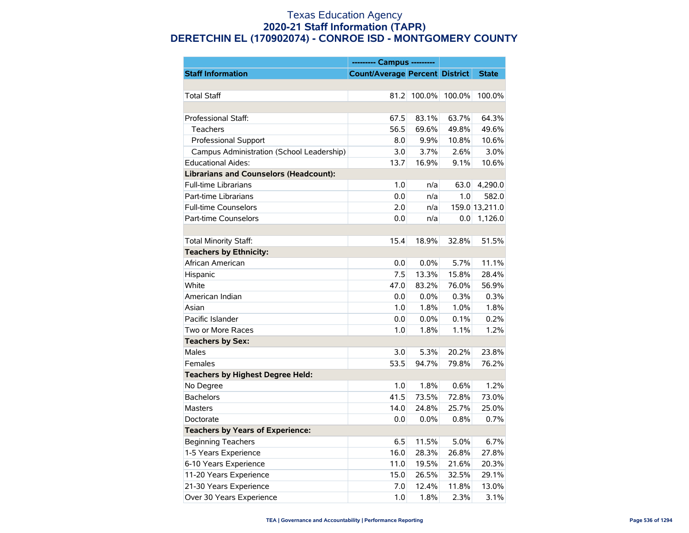|                                               | --------- Campus ---------            |        |        |                |
|-----------------------------------------------|---------------------------------------|--------|--------|----------------|
| <b>Staff Information</b>                      | <b>Count/Average Percent District</b> |        |        | <b>State</b>   |
|                                               |                                       |        |        |                |
| <b>Total Staff</b>                            | 81.2                                  | 100.0% | 100.0% | 100.0%         |
|                                               |                                       |        |        |                |
| Professional Staff:                           | 67.5                                  | 83.1%  | 63.7%  | 64.3%          |
| <b>Teachers</b>                               | 56.5                                  | 69.6%  | 49.8%  | 49.6%          |
| Professional Support                          | 8.0                                   | 9.9%   | 10.8%  | 10.6%          |
| Campus Administration (School Leadership)     | 3.0                                   | 3.7%   | 2.6%   | 3.0%           |
| <b>Educational Aides:</b>                     | 13.7                                  | 16.9%  | 9.1%   | 10.6%          |
| <b>Librarians and Counselors (Headcount):</b> |                                       |        |        |                |
| <b>Full-time Librarians</b>                   | 1.0                                   | n/a    | 63.0   | 4,290.0        |
| Part-time Librarians                          | 0.0                                   | n/a    | 1.0    | 582.0          |
| <b>Full-time Counselors</b>                   | 2.0                                   | n/a    |        | 159.0 13,211.0 |
| Part-time Counselors                          | 0.0                                   | n/a    | 0.0    | 1,126.0        |
|                                               |                                       |        |        |                |
| <b>Total Minority Staff:</b>                  | 15.4                                  | 18.9%  | 32.8%  | 51.5%          |
| <b>Teachers by Ethnicity:</b>                 |                                       |        |        |                |
| African American                              | 0.0                                   | 0.0%   | 5.7%   | 11.1%          |
| Hispanic                                      | 7.5                                   | 13.3%  | 15.8%  | 28.4%          |
| White                                         | 47.0                                  | 83.2%  | 76.0%  | 56.9%          |
| American Indian                               | 0.0                                   | 0.0%   | 0.3%   | 0.3%           |
| Asian                                         | 1.0                                   | 1.8%   | 1.0%   | 1.8%           |
| Pacific Islander                              | 0.0                                   | 0.0%   | 0.1%   | 0.2%           |
| Two or More Races                             | 1.0                                   | 1.8%   | 1.1%   | 1.2%           |
| <b>Teachers by Sex:</b>                       |                                       |        |        |                |
| <b>Males</b>                                  | 3.0                                   | 5.3%   | 20.2%  | 23.8%          |
| Females                                       | 53.5                                  | 94.7%  | 79.8%  | 76.2%          |
| <b>Teachers by Highest Degree Held:</b>       |                                       |        |        |                |
| No Degree                                     | 1.0                                   | 1.8%   | 0.6%   | 1.2%           |
| <b>Bachelors</b>                              | 41.5                                  | 73.5%  | 72.8%  | 73.0%          |
| <b>Masters</b>                                | 14.0                                  | 24.8%  | 25.7%  | 25.0%          |
| Doctorate                                     | 0.0                                   | 0.0%   | 0.8%   | 0.7%           |
| <b>Teachers by Years of Experience:</b>       |                                       |        |        |                |
| <b>Beginning Teachers</b>                     | 6.5                                   | 11.5%  | 5.0%   | 6.7%           |
| 1-5 Years Experience                          | 16.0                                  | 28.3%  | 26.8%  | 27.8%          |
| 6-10 Years Experience                         | 11.0                                  | 19.5%  | 21.6%  | 20.3%          |
| 11-20 Years Experience                        | 15.0                                  | 26.5%  | 32.5%  | 29.1%          |
| 21-30 Years Experience                        | 7.0                                   | 12.4%  | 11.8%  | 13.0%          |
| Over 30 Years Experience                      | 1.0                                   | 1.8%   | 2.3%   | 3.1%           |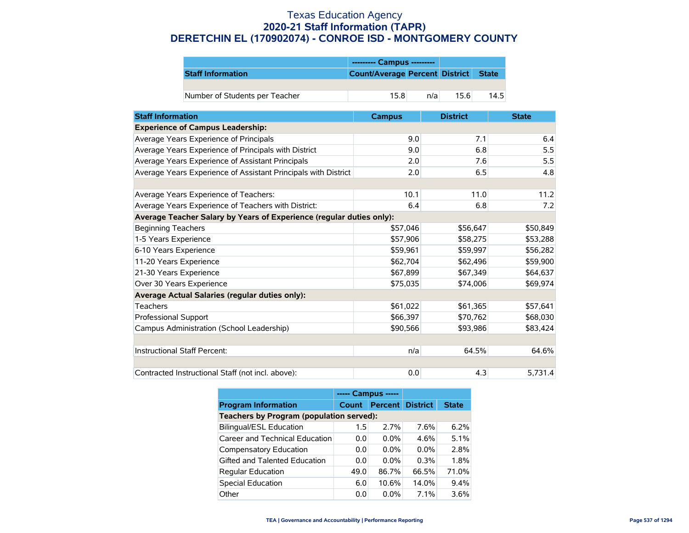|                                | --------- Campus ---------           |     |      |      |
|--------------------------------|--------------------------------------|-----|------|------|
| <b>Staff Information</b>       | Count/Average Percent District State |     |      |      |
|                                |                                      |     |      |      |
| Number of Students per Teacher | 15.8                                 | n/a | 15.6 | 14.5 |

| <b>Staff Information</b>                                             | <b>Campus</b> | <b>District</b> | <b>State</b> |
|----------------------------------------------------------------------|---------------|-----------------|--------------|
| <b>Experience of Campus Leadership:</b>                              |               |                 |              |
| Average Years Experience of Principals                               | 9.0           | 7.1             | 6.4          |
| Average Years Experience of Principals with District                 | 9.0           | 6.8             | 5.5          |
| Average Years Experience of Assistant Principals                     | 2.0           | 7.6             | 5.5          |
| Average Years Experience of Assistant Principals with District       | 2.0           | 6.5             | 4.8          |
|                                                                      |               |                 |              |
| Average Years Experience of Teachers:                                | 10.1          | 11.0            | 11.2         |
| Average Years Experience of Teachers with District:                  | 6.4           | 6.8             | 7.2          |
| Average Teacher Salary by Years of Experience (regular duties only): |               |                 |              |
| <b>Beginning Teachers</b>                                            | \$57,046      | \$56,647        | \$50,849     |
| 1-5 Years Experience                                                 | \$57,906      | \$58,275        | \$53,288     |
| 6-10 Years Experience                                                | \$59,961      | \$59,997        | \$56,282     |
| 11-20 Years Experience                                               | \$62,704      | \$62,496        | \$59,900     |
| 21-30 Years Experience                                               | \$67,899      | \$67,349        | \$64,637     |
| Over 30 Years Experience                                             | \$75,035      | \$74,006        | \$69,974     |
| Average Actual Salaries (regular duties only):                       |               |                 |              |
| <b>Teachers</b>                                                      | \$61,022      | \$61,365        | \$57,641     |
| Professional Support                                                 | \$66,397      | \$70,762        | \$68,030     |
| Campus Administration (School Leadership)                            | \$90,566      | \$93.986        | \$83.424     |
|                                                                      |               |                 |              |
| Instructional Staff Percent:                                         | n/a           | 64.5%           | 64.6%        |
|                                                                      |               |                 |              |
| Contracted Instructional Staff (not incl. above):                    | 0.0           | 4.3             | 5,731.4      |

|                                          | ----- Campus ----- |                         |         |              |  |  |
|------------------------------------------|--------------------|-------------------------|---------|--------------|--|--|
| <b>Program Information</b>               | <b>Count</b>       | <b>Percent District</b> |         | <b>State</b> |  |  |
| Teachers by Program (population served): |                    |                         |         |              |  |  |
| <b>Bilingual/ESL Education</b>           | $1.5\,$            | 2.7%                    | 7.6%    | 6.2%         |  |  |
| Career and Technical Education           | 0.0                | 0.0%                    | 4.6%    | 5.1%         |  |  |
| Compensatory Education                   | 0.0                | $0.0\%$                 | $0.0\%$ | 2.8%         |  |  |
| Gifted and Talented Education            | 0.0                | $0.0\%$                 | 0.3%    | 1.8%         |  |  |
| <b>Regular Education</b>                 | 49.0               | 86.7%                   | 66.5%   | 71.0%        |  |  |
| <b>Special Education</b>                 | 6.0                | 10.6%                   | 14.0%   | 9.4%         |  |  |
| Other                                    | 0.0                | $0.0\%$                 | 7.1%    | 3.6%         |  |  |